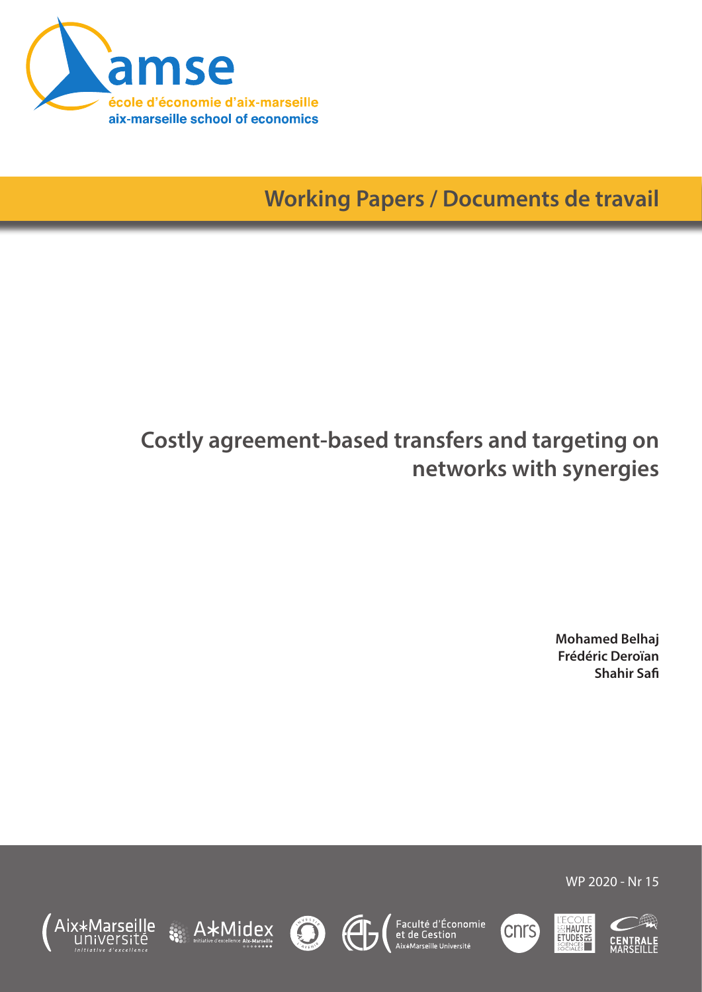

**Working Papers / Documents de travail**

# **Costly agreement-based transfers and targeting on networks with synergies**

**Mohamed Belhaj Frédéric Deroïan Shahir Safi**

WP 2020 - Nr 15

L'ECOLE<br>SEHAUTES<br>ETUDES













cnrs<sup>'</sup>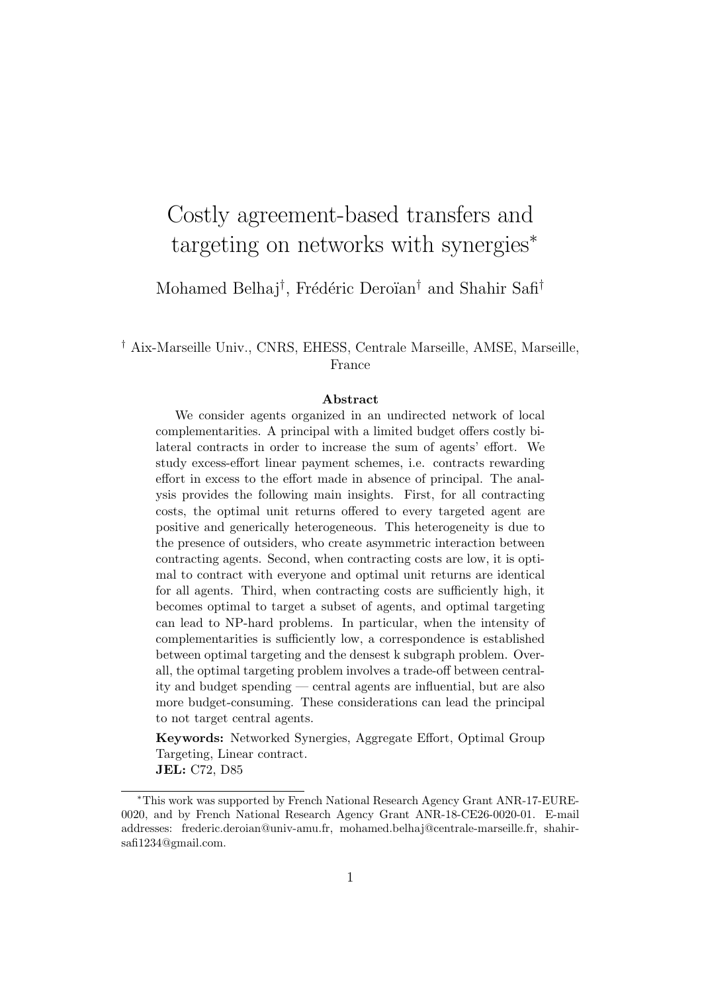# Costly agreement-based transfers and targeting on networks with synergies<sup>∗</sup>

Mohamed Belhaj<sup>†</sup>, Frédéric Deroïan<sup>†</sup> and Shahir Safi<sup>†</sup>

† Aix-Marseille Univ., CNRS, EHESS, Centrale Marseille, AMSE, Marseille, France

#### Abstract

We consider agents organized in an undirected network of local complementarities. A principal with a limited budget offers costly bilateral contracts in order to increase the sum of agents' effort. We study excess-effort linear payment schemes, i.e. contracts rewarding effort in excess to the effort made in absence of principal. The analysis provides the following main insights. First, for all contracting costs, the optimal unit returns offered to every targeted agent are positive and generically heterogeneous. This heterogeneity is due to the presence of outsiders, who create asymmetric interaction between contracting agents. Second, when contracting costs are low, it is optimal to contract with everyone and optimal unit returns are identical for all agents. Third, when contracting costs are sufficiently high, it becomes optimal to target a subset of agents, and optimal targeting can lead to NP-hard problems. In particular, when the intensity of complementarities is sufficiently low, a correspondence is established between optimal targeting and the densest k subgraph problem. Overall, the optimal targeting problem involves a trade-off between centrality and budget spending — central agents are influential, but are also more budget-consuming. These considerations can lead the principal to not target central agents.

Keywords: Networked Synergies, Aggregate Effort, Optimal Group Targeting, Linear contract. JEL: C72, D85

<sup>∗</sup>This work was supported by French National Research Agency Grant ANR-17-EURE-0020, and by French National Research Agency Grant ANR-18-CE26-0020-01. E-mail addresses: frederic.deroian@univ-amu.fr, mohamed.belhaj@centrale-marseille.fr, shahirsafi1234@gmail.com.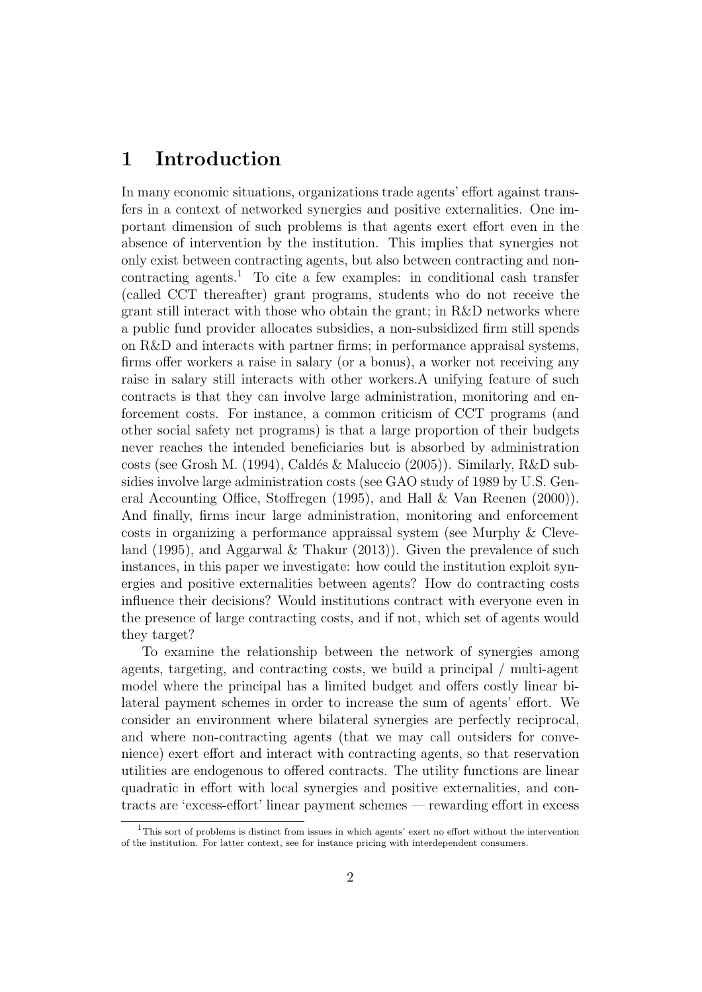# 1 Introduction

In many economic situations, organizations trade agents' effort against transfers in a context of networked synergies and positive externalities. One important dimension of such problems is that agents exert effort even in the absence of intervention by the institution. This implies that synergies not only exist between contracting agents, but also between contracting and noncontracting agents.<sup>1</sup> To cite a few examples: in conditional cash transfer (called CCT thereafter) grant programs, students who do not receive the grant still interact with those who obtain the grant; in R&D networks where a public fund provider allocates subsidies, a non-subsidized firm still spends on R&D and interacts with partner firms; in performance appraisal systems, firms offer workers a raise in salary (or a bonus), a worker not receiving any raise in salary still interacts with other workers.A unifying feature of such contracts is that they can involve large administration, monitoring and enforcement costs. For instance, a common criticism of CCT programs (and other social safety net programs) is that a large proportion of their budgets never reaches the intended beneficiaries but is absorbed by administration costs (see Grosh M. (1994), Cald´es & Maluccio (2005)). Similarly, R&D subsidies involve large administration costs (see GAO study of 1989 by U.S. General Accounting Office, Stoffregen (1995), and Hall & Van Reenen (2000)). And finally, firms incur large administration, monitoring and enforcement costs in organizing a performance appraissal system (see Murphy & Cleveland (1995), and Aggarwal & Thakur (2013)). Given the prevalence of such instances, in this paper we investigate: how could the institution exploit synergies and positive externalities between agents? How do contracting costs influence their decisions? Would institutions contract with everyone even in the presence of large contracting costs, and if not, which set of agents would they target?

To examine the relationship between the network of synergies among agents, targeting, and contracting costs, we build a principal / multi-agent model where the principal has a limited budget and offers costly linear bilateral payment schemes in order to increase the sum of agents' effort. We consider an environment where bilateral synergies are perfectly reciprocal, and where non-contracting agents (that we may call outsiders for convenience) exert effort and interact with contracting agents, so that reservation utilities are endogenous to offered contracts. The utility functions are linear quadratic in effort with local synergies and positive externalities, and contracts are 'excess-effort' linear payment schemes — rewarding effort in excess

<sup>&</sup>lt;sup>1</sup>This sort of problems is distinct from issues in which agents' exert no effort without the intervention of the institution. For latter context, see for instance pricing with interdependent consumers.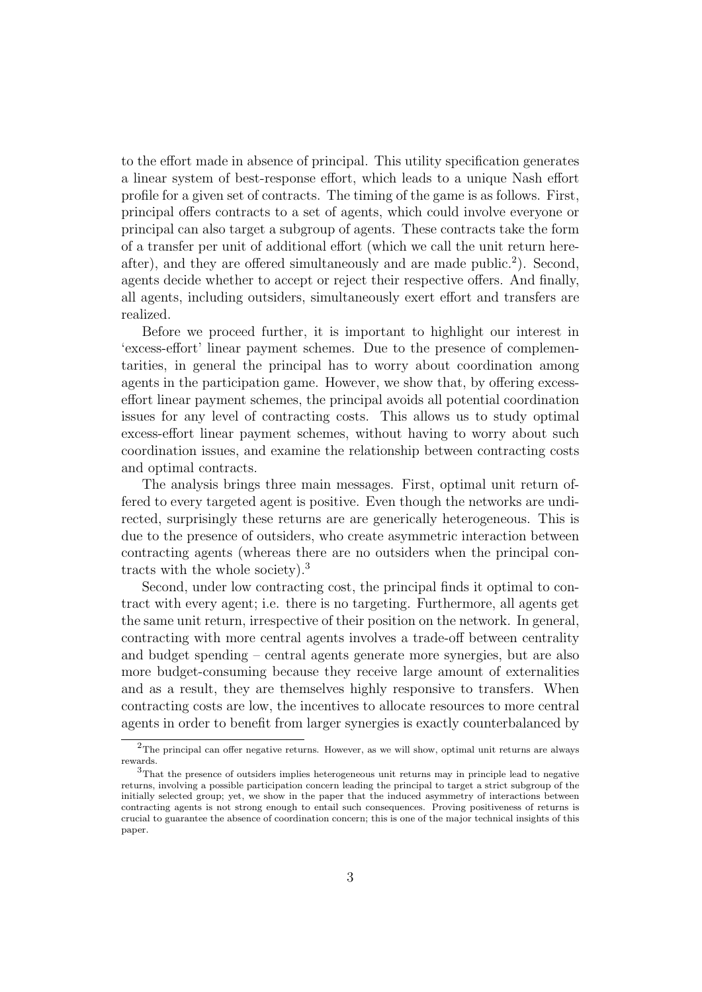to the effort made in absence of principal. This utility specification generates a linear system of best-response effort, which leads to a unique Nash effort profile for a given set of contracts. The timing of the game is as follows. First, principal offers contracts to a set of agents, which could involve everyone or principal can also target a subgroup of agents. These contracts take the form of a transfer per unit of additional effort (which we call the unit return hereafter), and they are offered simultaneously and are made public.<sup>2</sup>). Second, agents decide whether to accept or reject their respective offers. And finally, all agents, including outsiders, simultaneously exert effort and transfers are realized.

Before we proceed further, it is important to highlight our interest in 'excess-effort' linear payment schemes. Due to the presence of complementarities, in general the principal has to worry about coordination among agents in the participation game. However, we show that, by offering excesseffort linear payment schemes, the principal avoids all potential coordination issues for any level of contracting costs. This allows us to study optimal excess-effort linear payment schemes, without having to worry about such coordination issues, and examine the relationship between contracting costs and optimal contracts.

The analysis brings three main messages. First, optimal unit return offered to every targeted agent is positive. Even though the networks are undirected, surprisingly these returns are are generically heterogeneous. This is due to the presence of outsiders, who create asymmetric interaction between contracting agents (whereas there are no outsiders when the principal contracts with the whole society).<sup>3</sup>

Second, under low contracting cost, the principal finds it optimal to contract with every agent; i.e. there is no targeting. Furthermore, all agents get the same unit return, irrespective of their position on the network. In general, contracting with more central agents involves a trade-off between centrality and budget spending – central agents generate more synergies, but are also more budget-consuming because they receive large amount of externalities and as a result, they are themselves highly responsive to transfers. When contracting costs are low, the incentives to allocate resources to more central agents in order to benefit from larger synergies is exactly counterbalanced by

 $2$ The principal can offer negative returns. However, as we will show, optimal unit returns are always rewards.

<sup>3</sup>That the presence of outsiders implies heterogeneous unit returns may in principle lead to negative returns, involving a possible participation concern leading the principal to target a strict subgroup of the initially selected group; yet, we show in the paper that the induced asymmetry of interactions between contracting agents is not strong enough to entail such consequences. Proving positiveness of returns is crucial to guarantee the absence of coordination concern; this is one of the major technical insights of this paper.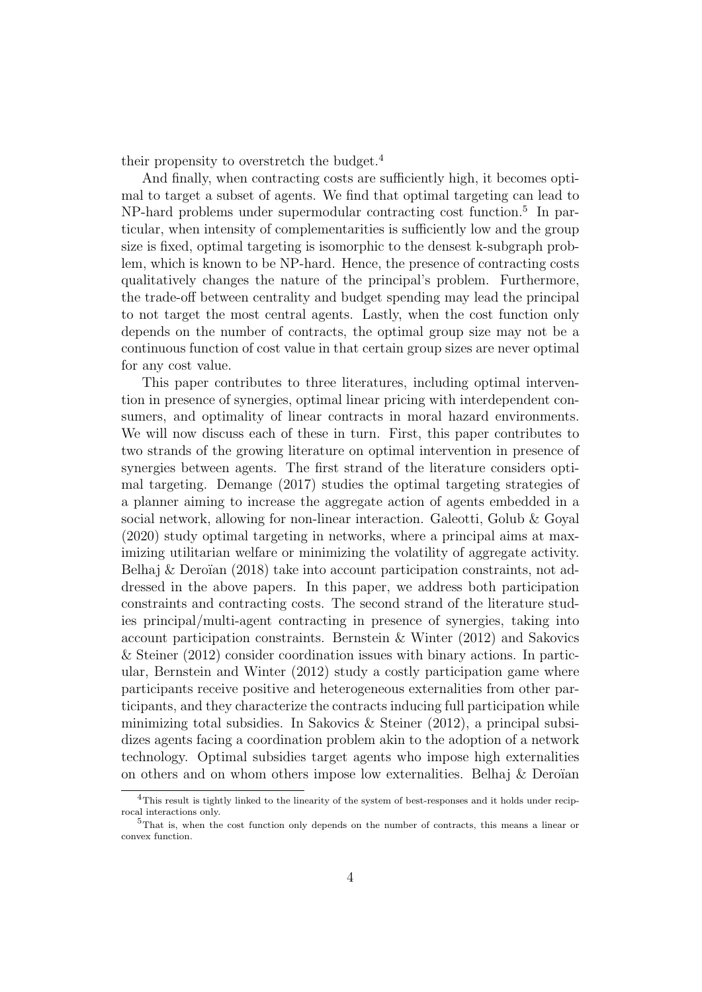their propensity to overstretch the budget.<sup>4</sup>

And finally, when contracting costs are sufficiently high, it becomes optimal to target a subset of agents. We find that optimal targeting can lead to NP-hard problems under supermodular contracting cost function.<sup>5</sup> In particular, when intensity of complementarities is sufficiently low and the group size is fixed, optimal targeting is isomorphic to the densest k-subgraph problem, which is known to be NP-hard. Hence, the presence of contracting costs qualitatively changes the nature of the principal's problem. Furthermore, the trade-off between centrality and budget spending may lead the principal to not target the most central agents. Lastly, when the cost function only depends on the number of contracts, the optimal group size may not be a continuous function of cost value in that certain group sizes are never optimal for any cost value.

This paper contributes to three literatures, including optimal intervention in presence of synergies, optimal linear pricing with interdependent consumers, and optimality of linear contracts in moral hazard environments. We will now discuss each of these in turn. First, this paper contributes to two strands of the growing literature on optimal intervention in presence of synergies between agents. The first strand of the literature considers optimal targeting. Demange (2017) studies the optimal targeting strategies of a planner aiming to increase the aggregate action of agents embedded in a social network, allowing for non-linear interaction. Galeotti, Golub & Goyal (2020) study optimal targeting in networks, where a principal aims at maximizing utilitarian welfare or minimizing the volatility of aggregate activity. Belhaj  $\&$  Deroïan (2018) take into account participation constraints, not addressed in the above papers. In this paper, we address both participation constraints and contracting costs. The second strand of the literature studies principal/multi-agent contracting in presence of synergies, taking into account participation constraints. Bernstein & Winter (2012) and Sakovics & Steiner (2012) consider coordination issues with binary actions. In particular, Bernstein and Winter (2012) study a costly participation game where participants receive positive and heterogeneous externalities from other participants, and they characterize the contracts inducing full participation while minimizing total subsidies. In Sakovics & Steiner (2012), a principal subsidizes agents facing a coordination problem akin to the adoption of a network technology. Optimal subsidies target agents who impose high externalities on others and on whom others impose low externalities. Belhaj  $\&$  Deroïan

 ${}^{4}$ This result is tightly linked to the linearity of the system of best-responses and it holds under reciprocal interactions only.

<sup>5</sup>That is, when the cost function only depends on the number of contracts, this means a linear or convex function.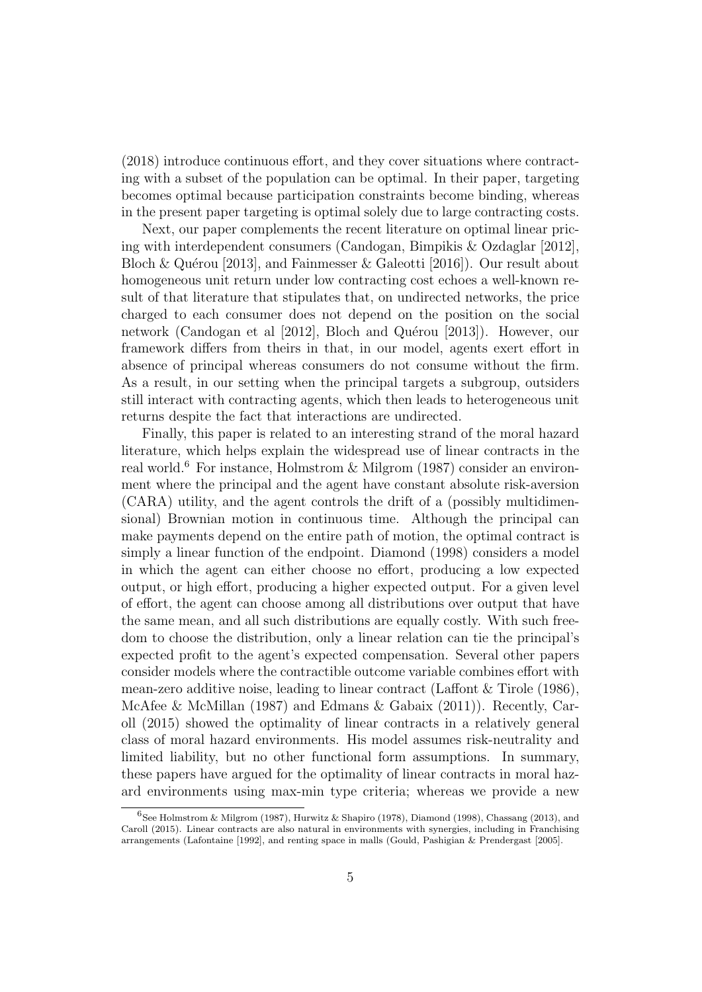(2018) introduce continuous effort, and they cover situations where contracting with a subset of the population can be optimal. In their paper, targeting becomes optimal because participation constraints become binding, whereas in the present paper targeting is optimal solely due to large contracting costs.

Next, our paper complements the recent literature on optimal linear pricing with interdependent consumers (Candogan, Bimpikis & Ozdaglar [2012], Bloch & Quérou [2013], and Fainmesser & Galeotti [2016]). Our result about homogeneous unit return under low contracting cost echoes a well-known result of that literature that stipulates that, on undirected networks, the price charged to each consumer does not depend on the position on the social network (Candogan et al [2012], Bloch and Quérou [2013]). However, our framework differs from theirs in that, in our model, agents exert effort in absence of principal whereas consumers do not consume without the firm. As a result, in our setting when the principal targets a subgroup, outsiders still interact with contracting agents, which then leads to heterogeneous unit returns despite the fact that interactions are undirected.

Finally, this paper is related to an interesting strand of the moral hazard literature, which helps explain the widespread use of linear contracts in the real world.<sup>6</sup> For instance, Holmstrom & Milgrom (1987) consider an environment where the principal and the agent have constant absolute risk-aversion (CARA) utility, and the agent controls the drift of a (possibly multidimensional) Brownian motion in continuous time. Although the principal can make payments depend on the entire path of motion, the optimal contract is simply a linear function of the endpoint. Diamond (1998) considers a model in which the agent can either choose no effort, producing a low expected output, or high effort, producing a higher expected output. For a given level of effort, the agent can choose among all distributions over output that have the same mean, and all such distributions are equally costly. With such freedom to choose the distribution, only a linear relation can tie the principal's expected profit to the agent's expected compensation. Several other papers consider models where the contractible outcome variable combines effort with mean-zero additive noise, leading to linear contract (Laffont & Tirole (1986), McAfee & McMillan (1987) and Edmans & Gabaix (2011)). Recently, Caroll (2015) showed the optimality of linear contracts in a relatively general class of moral hazard environments. His model assumes risk-neutrality and limited liability, but no other functional form assumptions. In summary, these papers have argued for the optimality of linear contracts in moral hazard environments using max-min type criteria; whereas we provide a new

<sup>6</sup> See Holmstrom & Milgrom (1987), Hurwitz & Shapiro (1978), Diamond (1998), Chassang (2013), and Caroll (2015). Linear contracts are also natural in environments with synergies, including in Franchising arrangements (Lafontaine [1992], and renting space in malls (Gould, Pashigian & Prendergast [2005].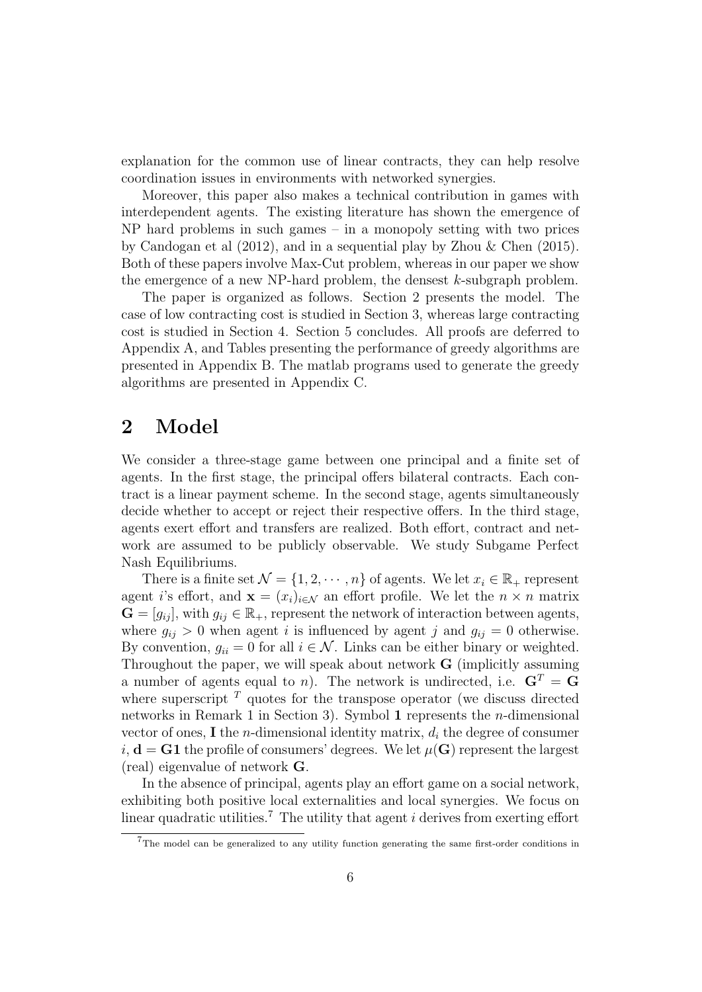explanation for the common use of linear contracts, they can help resolve coordination issues in environments with networked synergies.

Moreover, this paper also makes a technical contribution in games with interdependent agents. The existing literature has shown the emergence of NP hard problems in such games – in a monopoly setting with two prices by Candogan et al (2012), and in a sequential play by Zhou & Chen (2015). Both of these papers involve Max-Cut problem, whereas in our paper we show the emergence of a new NP-hard problem, the densest  $k$ -subgraph problem.

The paper is organized as follows. Section 2 presents the model. The case of low contracting cost is studied in Section 3, whereas large contracting cost is studied in Section 4. Section 5 concludes. All proofs are deferred to Appendix A, and Tables presenting the performance of greedy algorithms are presented in Appendix B. The matlab programs used to generate the greedy algorithms are presented in Appendix C.

## 2 Model

We consider a three-stage game between one principal and a finite set of agents. In the first stage, the principal offers bilateral contracts. Each contract is a linear payment scheme. In the second stage, agents simultaneously decide whether to accept or reject their respective offers. In the third stage, agents exert effort and transfers are realized. Both effort, contract and network are assumed to be publicly observable. We study Subgame Perfect Nash Equilibriums.

There is a finite set  $\mathcal{N} = \{1, 2, \cdots, n\}$  of agents. We let  $x_i \in \mathbb{R}_+$  represent agent i's effort, and  $\mathbf{x} = (x_i)_{i \in \mathcal{N}}$  an effort profile. We let the  $n \times n$  matrix  $\mathbf{G} = [g_{ij}]$ , with  $g_{ij} \in \mathbb{R}_+$ , represent the network of interaction between agents, where  $g_{ij} > 0$  when agent i is influenced by agent j and  $g_{ij} = 0$  otherwise. By convention,  $g_{ii} = 0$  for all  $i \in \mathcal{N}$ . Links can be either binary or weighted. Throughout the paper, we will speak about network G (implicitly assuming a number of agents equal to n). The network is undirected, i.e.  $G<sup>T</sup> = G$ where superscript  $<sup>T</sup>$  quotes for the transpose operator (we discuss directed</sup> networks in Remark 1 in Section 3). Symbol 1 represents the n-dimensional vector of ones, I the *n*-dimensional identity matrix,  $d_i$  the degree of consumer  $i, d = G1$  the profile of consumers' degrees. We let  $\mu(G)$  represent the largest (real) eigenvalue of network G.

In the absence of principal, agents play an effort game on a social network, exhibiting both positive local externalities and local synergies. We focus on linear quadratic utilities.<sup>7</sup> The utility that agent  $i$  derives from exerting effort

<sup>7</sup>The model can be generalized to any utility function generating the same first-order conditions in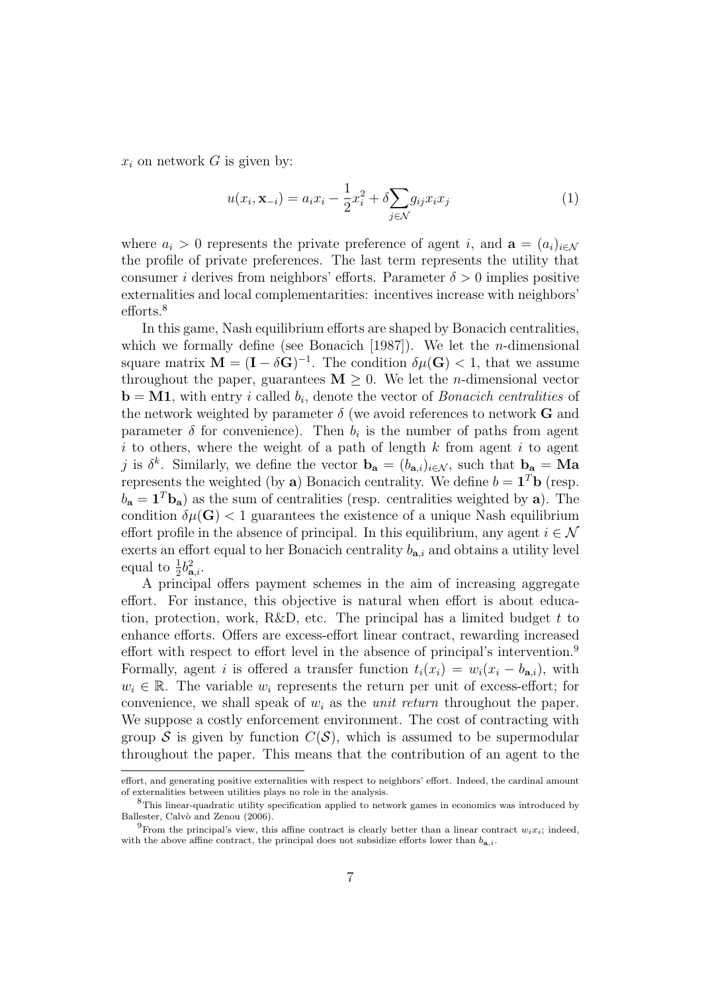$x_i$  on network G is given by:

$$
u(x_i, \mathbf{x}_{-i}) = a_i x_i - \frac{1}{2} x_i^2 + \delta \sum_{j \in \mathcal{N}} g_{ij} x_i x_j \tag{1}
$$

where  $a_i > 0$  represents the private preference of agent i, and  $\mathbf{a} = (a_i)_{i \in \mathcal{N}}$ the profile of private preferences. The last term represents the utility that consumer i derives from neighbors' efforts. Parameter  $\delta > 0$  implies positive externalities and local complementarities: incentives increase with neighbors' efforts.<sup>8</sup>

In this game, Nash equilibrium efforts are shaped by Bonacich centralities, which we formally define (see Bonacich [1987]). We let the *n*-dimensional square matrix  $\mathbf{M} = (\mathbf{I} - \delta \mathbf{G})^{-1}$ . The condition  $\delta \mu(\mathbf{G}) < 1$ , that we assume throughout the paper, guarantees  $M \geq 0$ . We let the *n*-dimensional vector **, with entry** *i* **called**  $b_i$ **, denote the vector of** *Bonacich centralities* **of** the network weighted by parameter  $\delta$  (we avoid references to network G and parameter  $\delta$  for convenience). Then  $b_i$  is the number of paths from agent i to others, where the weight of a path of length  $k$  from agent i to agent j is  $\delta^k$ . Similarly, we define the vector  $\mathbf{b}_a = (b_{a,i})_{i \in \mathcal{N}}$ , such that  $\mathbf{b}_a = Ma$ represents the weighted (by a) Bonacich centrality. We define  $b = \mathbf{1}^T \mathbf{b}$  (resp.  $b_{\mathbf{a}} = \mathbf{1}^T \mathbf{b}_{\mathbf{a}}$ ) as the sum of centralities (resp. centralities weighted by **a**). The condition  $\delta \mu(\mathbf{G}) < 1$  guarantees the existence of a unique Nash equilibrium effort profile in the absence of principal. In this equilibrium, any agent  $i \in \mathcal{N}$ exerts an effort equal to her Bonacich centrality  $b_{a,i}$  and obtains a utility level equal to  $\frac{1}{2}b_{\mathbf{a},i}^2$ .

A principal offers payment schemes in the aim of increasing aggregate effort. For instance, this objective is natural when effort is about education, protection, work, R&D, etc. The principal has a limited budget  $t$  to enhance efforts. Offers are excess-effort linear contract, rewarding increased effort with respect to effort level in the absence of principal's intervention.<sup>9</sup> Formally, agent i is offered a transfer function  $t_i(x_i) = w_i(x_i - b_{\mathbf{a},i})$ , with  $w_i \in \mathbb{R}$ . The variable  $w_i$  represents the return per unit of excess-effort; for convenience, we shall speak of  $w_i$  as the *unit return* throughout the paper. We suppose a costly enforcement environment. The cost of contracting with group S is given by function  $C(S)$ , which is assumed to be supermodular throughout the paper. This means that the contribution of an agent to the

effort, and generating positive externalities with respect to neighbors' effort. Indeed, the cardinal amount of externalities between utilities plays no role in the analysis.

<sup>8</sup>This linear-quadratic utility specification applied to network games in economics was introduced by Ballester, Calvò and Zenou (2006).

<sup>&</sup>lt;sup>9</sup>From the principal's view, this affine contract is clearly better than a linear contract  $w_i x_i$ ; indeed, with the above affine contract, the principal does not subsidize efforts lower than  $b_{\mathbf{a},i}$ .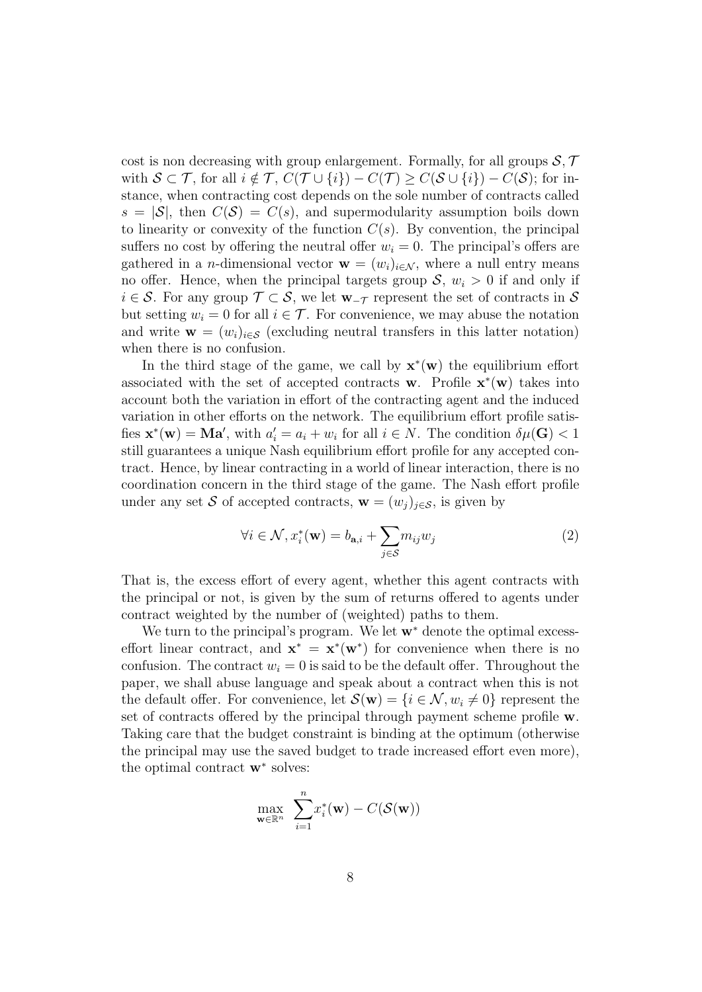cost is non decreasing with group enlargement. Formally, for all groups  $S, \mathcal{T}$ with  $S \subset \mathcal{T}$ , for all  $i \notin \mathcal{T}$ ,  $C(\mathcal{T} \cup \{i\}) - C(\mathcal{T}) \geq C(\mathcal{S} \cup \{i\}) - C(\mathcal{S})$ ; for instance, when contracting cost depends on the sole number of contracts called  $s = |\mathcal{S}|$ , then  $C(\mathcal{S}) = C(s)$ , and supermodularity assumption boils down to linearity or convexity of the function  $C(s)$ . By convention, the principal suffers no cost by offering the neutral offer  $w_i = 0$ . The principal's offers are gathered in a *n*-dimensional vector  $\mathbf{w} = (w_i)_{i \in \mathcal{N}}$ , where a null entry means no offer. Hence, when the principal targets group  $S, w_i > 0$  if and only if  $i \in \mathcal{S}$ . For any group  $\mathcal{T} \subset \mathcal{S}$ , we let  $\mathbf{w}_{-\mathcal{T}}$  represent the set of contracts in  $\mathcal{S}$ but setting  $w_i = 0$  for all  $i \in \mathcal{T}$ . For convenience, we may abuse the notation and write  $\mathbf{w} = (w_i)_{i \in \mathcal{S}}$  (excluding neutral transfers in this latter notation) when there is no confusion.

In the third stage of the game, we call by  $\mathbf{x}^*(\mathbf{w})$  the equilibrium effort associated with the set of accepted contracts w. Profile  $\mathbf{x}^*(\mathbf{w})$  takes into account both the variation in effort of the contracting agent and the induced variation in other efforts on the network. The equilibrium effort profile satisfies  $\mathbf{x}^*(\mathbf{w}) = \mathbf{M}\mathbf{a}'$ , with  $a'_i = a_i + w_i$  for all  $i \in N$ . The condition  $\delta\mu(\mathbf{G}) < 1$ still guarantees a unique Nash equilibrium effort profile for any accepted contract. Hence, by linear contracting in a world of linear interaction, there is no coordination concern in the third stage of the game. The Nash effort profile under any set S of accepted contracts,  $\mathbf{w} = (w_j)_{j \in \mathcal{S}}$ , is given by

$$
\forall i \in \mathcal{N}, x_i^*(\mathbf{w}) = b_{\mathbf{a},i} + \sum_{j \in \mathcal{S}} m_{ij} w_j \tag{2}
$$

That is, the excess effort of every agent, whether this agent contracts with the principal or not, is given by the sum of returns offered to agents under contract weighted by the number of (weighted) paths to them.

We turn to the principal's program. We let  $w^*$  denote the optimal excesseffort linear contract, and  $\mathbf{x}^* = \mathbf{x}^*(\mathbf{w}^*)$  for convenience when there is no confusion. The contract  $w_i = 0$  is said to be the default offer. Throughout the paper, we shall abuse language and speak about a contract when this is not the default offer. For convenience, let  $\mathcal{S}(\mathbf{w}) = \{i \in \mathcal{N}, w_i \neq 0\}$  represent the set of contracts offered by the principal through payment scheme profile w. Taking care that the budget constraint is binding at the optimum (otherwise the principal may use the saved budget to trade increased effort even more), the optimal contract  $\mathbf{w}^*$  solves:

$$
\max_{\mathbf{w}\in\mathbb{R}^n} \ \sum_{i=1}^n x_i^*(\mathbf{w}) - C(\mathcal{S}(\mathbf{w}))
$$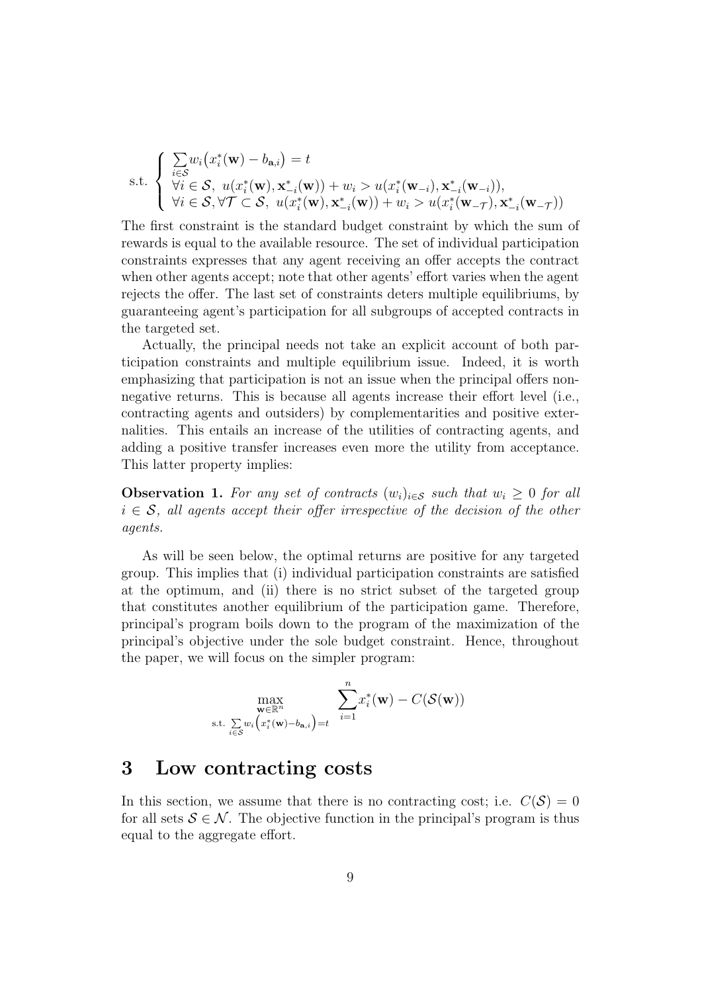s.t. 
$$
\begin{cases} \sum_{i \in \mathcal{S}} w_i (x_i^*(\mathbf{w}) - b_{\mathbf{a},i}) = t \\ \forall i \in \mathcal{S}, \ u(x_i^*(\mathbf{w}), \mathbf{x}_{-i}^*(\mathbf{w})) + w_i > u(x_i^*(\mathbf{w}_{-i}), \mathbf{x}_{-i}^*(\mathbf{w}_{-i})), \\ \forall i \in \mathcal{S}, \forall \mathcal{T} \subset \mathcal{S}, \ u(x_i^*(\mathbf{w}), \mathbf{x}_{-i}^*(\mathbf{w})) + w_i > u(x_i^*(\mathbf{w}_{-\mathcal{T}}), \mathbf{x}_{-i}^*(\mathbf{w}_{-\mathcal{T}})) \end{cases}
$$

The first constraint is the standard budget constraint by which the sum of rewards is equal to the available resource. The set of individual participation constraints expresses that any agent receiving an offer accepts the contract when other agents accept; note that other agents' effort varies when the agent rejects the offer. The last set of constraints deters multiple equilibriums, by guaranteeing agent's participation for all subgroups of accepted contracts in the targeted set.

Actually, the principal needs not take an explicit account of both participation constraints and multiple equilibrium issue. Indeed, it is worth emphasizing that participation is not an issue when the principal offers nonnegative returns. This is because all agents increase their effort level (i.e., contracting agents and outsiders) by complementarities and positive externalities. This entails an increase of the utilities of contracting agents, and adding a positive transfer increases even more the utility from acceptance. This latter property implies:

**Observation 1.** For any set of contracts  $(w_i)_{i \in \mathcal{S}}$  such that  $w_i \geq 0$  for all  $i \in \mathcal{S}$ , all agents accept their offer irrespective of the decision of the other agents.

As will be seen below, the optimal returns are positive for any targeted group. This implies that (i) individual participation constraints are satisfied at the optimum, and (ii) there is no strict subset of the targeted group that constitutes another equilibrium of the participation game. Therefore, principal's program boils down to the program of the maximization of the principal's objective under the sole budget constraint. Hence, throughout the paper, we will focus on the simpler program:

$$
\max_{\substack{\mathbf{w}\in\mathbb{R}^n\\ \text{s.t. } \sum\limits_{i\in\mathcal{S}}w_i\big(x_i^*(\mathbf{w})-b_{\mathbf{a},i}\big)=t}} \sum\limits_{i=1}^n x_i^*(\mathbf{w}) - C(\mathcal{S}(\mathbf{w}))
$$

### 3 Low contracting costs

In this section, we assume that there is no contracting cost; i.e.  $C(S) = 0$ for all sets  $S \in \mathcal{N}$ . The objective function in the principal's program is thus equal to the aggregate effort.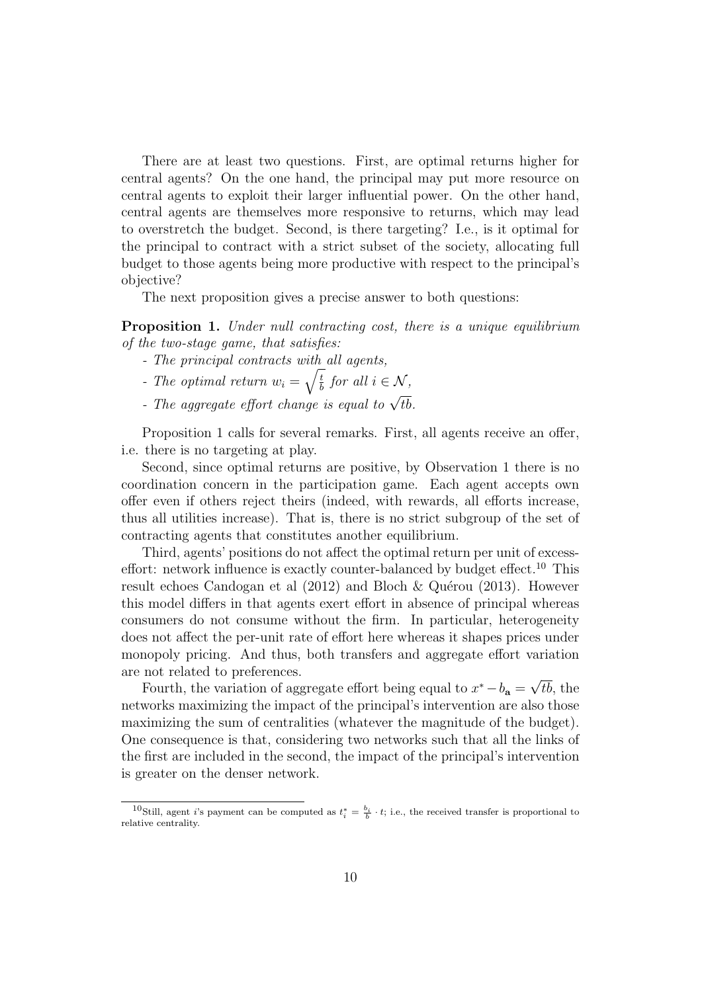There are at least two questions. First, are optimal returns higher for central agents? On the one hand, the principal may put more resource on central agents to exploit their larger influential power. On the other hand, central agents are themselves more responsive to returns, which may lead to overstretch the budget. Second, is there targeting? I.e., is it optimal for the principal to contract with a strict subset of the society, allocating full budget to those agents being more productive with respect to the principal's objective?

The next proposition gives a precise answer to both questions:

Proposition 1. Under null contracting cost, there is a unique equilibrium of the two-stage game, that satisfies:

- The principal contracts with all agents,
- The optimal return  $w_i = \sqrt{\frac{t}{h}}$  $\frac{t}{b}$  for all  $i \in \mathcal{N}$ ,
- The aggregate effort change is equal to  $\sqrt{tb}$ .

Proposition 1 calls for several remarks. First, all agents receive an offer, i.e. there is no targeting at play.

Second, since optimal returns are positive, by Observation 1 there is no coordination concern in the participation game. Each agent accepts own offer even if others reject theirs (indeed, with rewards, all efforts increase, thus all utilities increase). That is, there is no strict subgroup of the set of contracting agents that constitutes another equilibrium.

Third, agents' positions do not affect the optimal return per unit of excesseffort: network influence is exactly counter-balanced by budget effect.<sup>10</sup> This result echoes Candogan et al  $(2012)$  and Bloch & Quérou  $(2013)$ . However this model differs in that agents exert effort in absence of principal whereas consumers do not consume without the firm. In particular, heterogeneity does not affect the per-unit rate of effort here whereas it shapes prices under monopoly pricing. And thus, both transfers and aggregate effort variation are not related to preferences. √

Fourth, the variation of aggregate effort being equal to  $x^* - b_a =$ tb, the networks maximizing the impact of the principal's intervention are also those maximizing the sum of centralities (whatever the magnitude of the budget). One consequence is that, considering two networks such that all the links of the first are included in the second, the impact of the principal's intervention is greater on the denser network.

<sup>&</sup>lt;sup>10</sup>Still, agent *i*'s payment can be computed as  $t_i^* = \frac{b_i}{b} \cdot t$ ; i.e., the received transfer is proportional to relative centrality.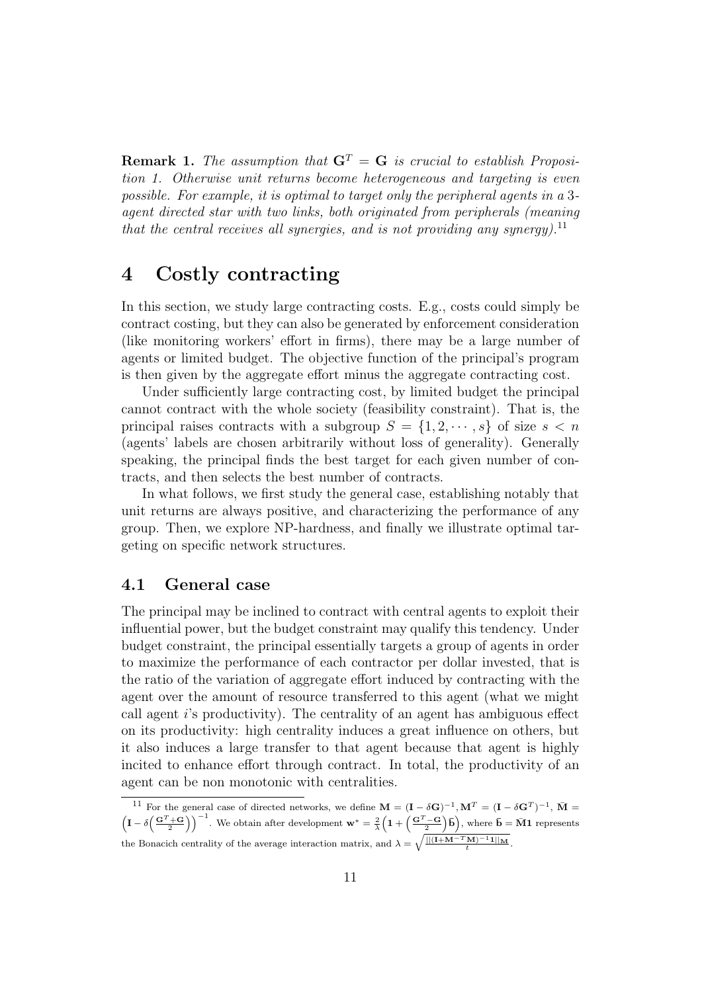**Remark 1.** The assumption that  $G<sup>T</sup> = G$  is crucial to establish Proposition 1. Otherwise unit returns become heterogeneous and targeting is even possible. For example, it is optimal to target only the peripheral agents in a 3 agent directed star with two links, both originated from peripherals (meaning that the central receives all synergies, and is not providing any synergy).<sup>11</sup>

## 4 Costly contracting

In this section, we study large contracting costs. E.g., costs could simply be contract costing, but they can also be generated by enforcement consideration (like monitoring workers' effort in firms), there may be a large number of agents or limited budget. The objective function of the principal's program is then given by the aggregate effort minus the aggregate contracting cost.

Under sufficiently large contracting cost, by limited budget the principal cannot contract with the whole society (feasibility constraint). That is, the principal raises contracts with a subgroup  $S = \{1, 2, \dots, s\}$  of size  $s < n$ (agents' labels are chosen arbitrarily without loss of generality). Generally speaking, the principal finds the best target for each given number of contracts, and then selects the best number of contracts.

In what follows, we first study the general case, establishing notably that unit returns are always positive, and characterizing the performance of any group. Then, we explore NP-hardness, and finally we illustrate optimal targeting on specific network structures.

#### 4.1 General case

The principal may be inclined to contract with central agents to exploit their influential power, but the budget constraint may qualify this tendency. Under budget constraint, the principal essentially targets a group of agents in order to maximize the performance of each contractor per dollar invested, that is the ratio of the variation of aggregate effort induced by contracting with the agent over the amount of resource transferred to this agent (what we might call agent i's productivity). The centrality of an agent has ambiguous effect on its productivity: high centrality induces a great influence on others, but it also induces a large transfer to that agent because that agent is highly incited to enhance effort through contract. In total, the productivity of an agent can be non monotonic with centralities.

<sup>&</sup>lt;sup>11</sup> For the general case of directed networks, we define  $\mathbf{M} = (\mathbf{I} - \delta \mathbf{G})^{-1}, \mathbf{M}^T = (\mathbf{I} - \delta \mathbf{G}^T)^{-1}, \ \bar{\mathbf{M}} =$  $\left(I - \delta\left(\frac{G^T + G}{2}\right)\right)^{-1}$ . We obtain after development  $\mathbf{w}^* = \frac{2}{\lambda}\left(1 + \left(\frac{G^T - G}{2}\right)\bar{\mathbf{b}}\right)$ , where  $\bar{\mathbf{b}} = \bar{\mathbf{M}}\mathbf{1}$  represents the Bonacich centrality of the average interaction matrix, and  $\lambda = \sqrt{\frac{||(1+M-T_M)^{-1}1||_M}{t}}$ .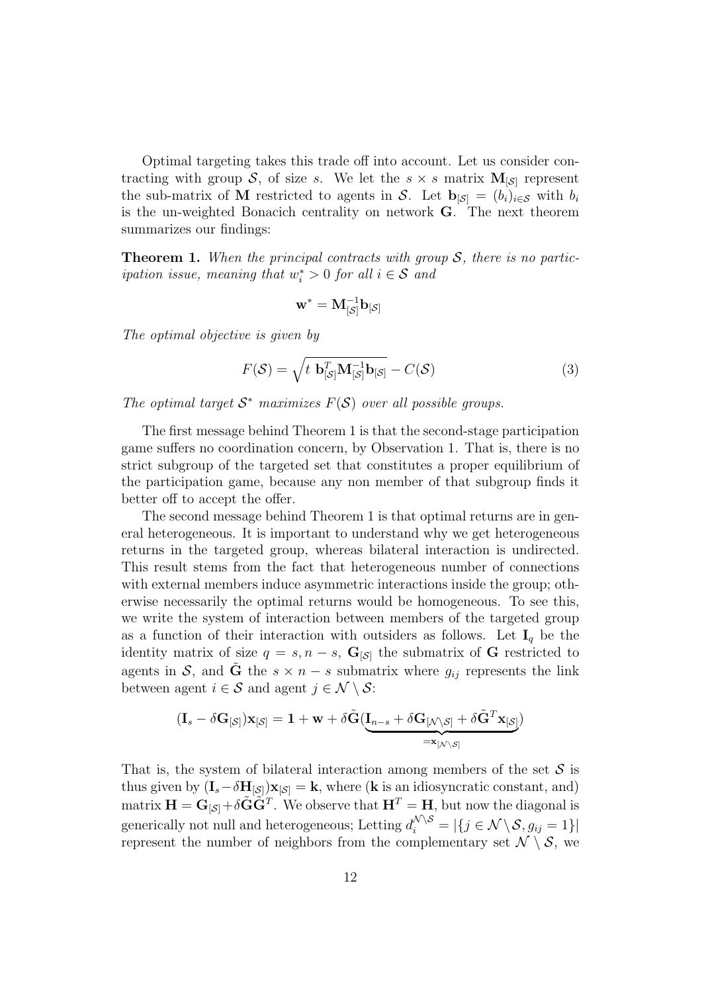Optimal targeting takes this trade off into account. Let us consider contracting with group S, of size s. We let the  $s \times s$  matrix  $M_{\lbrack S \rbrack}$  represent the sub-matrix of M restricted to agents in S. Let  $\mathbf{b}_{\vert S\vert} = (b_i)_{i\in S}$  with  $b_i$ is the un-weighted Bonacich centrality on network G. The next theorem summarizes our findings:

**Theorem 1.** When the principal contracts with group  $S$ , there is no partic*ipation issue, meaning that*  $w_i^* > 0$  *for all*  $i \in S$  *and* 

$$
\mathbf{w}^* = \mathbf{M}_{[\mathcal{S}]}^{-1} \mathbf{b}_{[\mathcal{S}]}
$$

The optimal objective is given by

$$
F(S) = \sqrt{t \mathbf{b}_{[S]}^T \mathbf{M}_{[S]}^{-1} \mathbf{b}_{[S]}} - C(S)
$$
\n(3)

The optimal target  $S^*$  maximizes  $F(S)$  over all possible groups.

The first message behind Theorem 1 is that the second-stage participation game suffers no coordination concern, by Observation 1. That is, there is no strict subgroup of the targeted set that constitutes a proper equilibrium of the participation game, because any non member of that subgroup finds it better off to accept the offer.

The second message behind Theorem 1 is that optimal returns are in general heterogeneous. It is important to understand why we get heterogeneous returns in the targeted group, whereas bilateral interaction is undirected. This result stems from the fact that heterogeneous number of connections with external members induce asymmetric interactions inside the group; otherwise necessarily the optimal returns would be homogeneous. To see this, we write the system of interaction between members of the targeted group as a function of their interaction with outsiders as follows. Let  $I_q$  be the identity matrix of size  $q = s, n - s$ ,  $\mathbf{G}_{\lvert \mathcal{S}\rvert}$  the submatrix of G restricted to agents in S, and  $\tilde{G}$  the  $s \times n - s$  submatrix where  $g_{ij}$  represents the link between agent  $i \in \mathcal{S}$  and agent  $j \in \mathcal{N} \setminus \mathcal{S}$ :

$$
(\mathbf{I}_s-\delta\mathbf{G}_{[\mathcal{S}]})\mathbf{x}_{[\mathcal{S}]}=\mathbf{1}+\mathbf{w}+\delta\tilde{\mathbf{G}}(\underbrace{\mathbf{I}_{n-s}+\delta\mathbf{G}_{[\mathcal{N}\setminus\mathcal{S}]}+\delta\tilde{\mathbf{G}}^T\mathbf{x}_{[\mathcal{S}]}})_{=\mathbf{x}_{[\mathcal{N}\setminus\mathcal{S}]}}
$$

That is, the system of bilateral interaction among members of the set  $S$  is thus given by  $(I_s - \delta H_{\lvert S\rvert})\mathbf{x}_{\lvert S\rvert} = \mathbf{k}$ , where (**k** is an idiosyncratic constant, and) matrix  $\mathbf{H} = \mathbf{G}_{\lbrack S \rbrack} + \delta \tilde{\mathbf{G}} \tilde{\mathbf{G}}^T$ . We observe that  $\mathbf{H}^T = \mathbf{H}$ , but now the diagonal is generically not null and heterogeneous; Letting  $d_i^{\mathcal{N}\setminus\mathcal{S}} = |\{j \in \mathcal{N} \setminus \mathcal{S}, g_{ij} = 1\}|$ represent the number of neighbors from the complementary set  $\mathcal{N} \setminus \mathcal{S}$ , we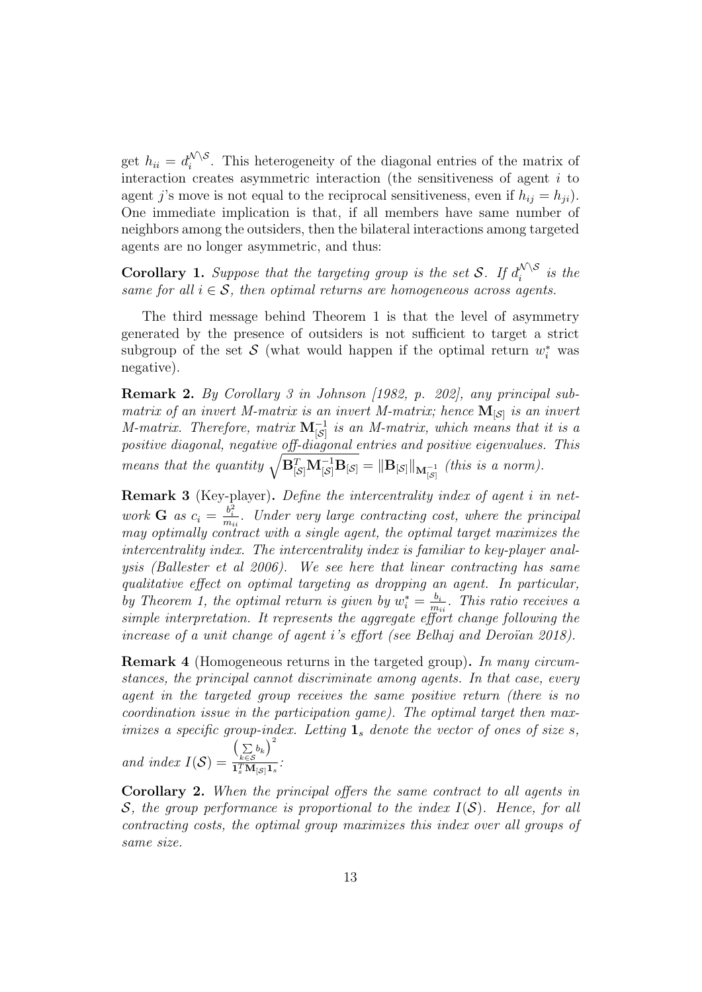get  $h_{ii} = d_i^{\mathcal{N} \setminus \mathcal{S}}$  $\sum_{i=1}^{N}$ . This heterogeneity of the diagonal entries of the matrix of interaction creates asymmetric interaction (the sensitiveness of agent  $i$  to agent j's move is not equal to the reciprocal sensitiveness, even if  $h_{ij} = h_{ji}$ . One immediate implication is that, if all members have same number of neighbors among the outsiders, then the bilateral interactions among targeted agents are no longer asymmetric, and thus:

**Corollary 1.** Suppose that the targeting group is the set S. If  $d_i^{\mathcal{N} \setminus \mathcal{S}}$  $\sum_{i=1}^{N}$  is the same for all  $i \in S$ , then optimal returns are homogeneous across agents.

The third message behind Theorem 1 is that the level of asymmetry generated by the presence of outsiders is not sufficient to target a strict subgroup of the set S (what would happen if the optimal return  $w_i^*$  was negative).

Remark 2. By Corollary 3 in Johnson [1982, p. 202], any principal submatrix of an invert M-matrix is an invert M-matrix; hence  $\mathbf{M}_{\left[ \mathcal{S}\right]}$  is an invert M-matrix. Therefore, matrix  $\mathbf{M}^{-1}_{\left[\mathcal{S}\right]}$  is an M-matrix, which means that it is a positive diagonal, negative off-diagonal entries and positive eigenvalues. This means that the quantity  $\sqrt{\mathbf{B}_{[\mathcal{S}]}^T \mathbf{M}_{[\mathcal{S}]}^{-1} \mathbf{B}_{[\mathcal{S}]}} = \|\mathbf{B}_{[\mathcal{S}]} \|_{\mathbf{M}_{[\mathcal{S}]}^{-1}}$  (this is a norm).

Remark 3 (Key-player). Define the intercentrality index of agent i in network **G** as  $c_i = \frac{b_i^2}{m_{ii}}$ . Under very large contracting cost, where the principal may optimally contract with a single agent, the optimal target maximizes the intercentrality index. The intercentrality index is familiar to key-player analysis (Ballester et al 2006). We see here that linear contracting has same qualitative effect on optimal targeting as dropping an agent. In particular, by Theorem 1, the optimal return is given by  $w_i^* = \frac{b_i}{m_i}$  $\frac{b_i}{m_{ii}}$ . This ratio receives a simple interpretation. It represents the aggregate effort change following the increase of a unit change of agent i's effort (see Belhaj and Deroïan 2018).

**Remark 4** (Homogeneous returns in the targeted group). In many circumstances, the principal cannot discriminate among agents. In that case, every agent in the targeted group receives the same positive return (there is no coordination issue in the participation game). The optimal target then maximizes a specific group-index. Letting  $\mathbf{1}_s$  denote the vector of ones of size s,

and index  $I(S) =$  $\left(\sum_{k\in\mathcal{S}}b_k\right)^2$  $\frac{\lambda_k \in \mathcal{S}}{\mathbf{1}_s^T \mathbf{M}_{[\mathcal{S}]} \mathbf{1}_s}$  :

Corollary 2. When the principal offers the same contract to all agents in S, the group performance is proportional to the index  $I(S)$ . Hence, for all contracting costs, the optimal group maximizes this index over all groups of same size.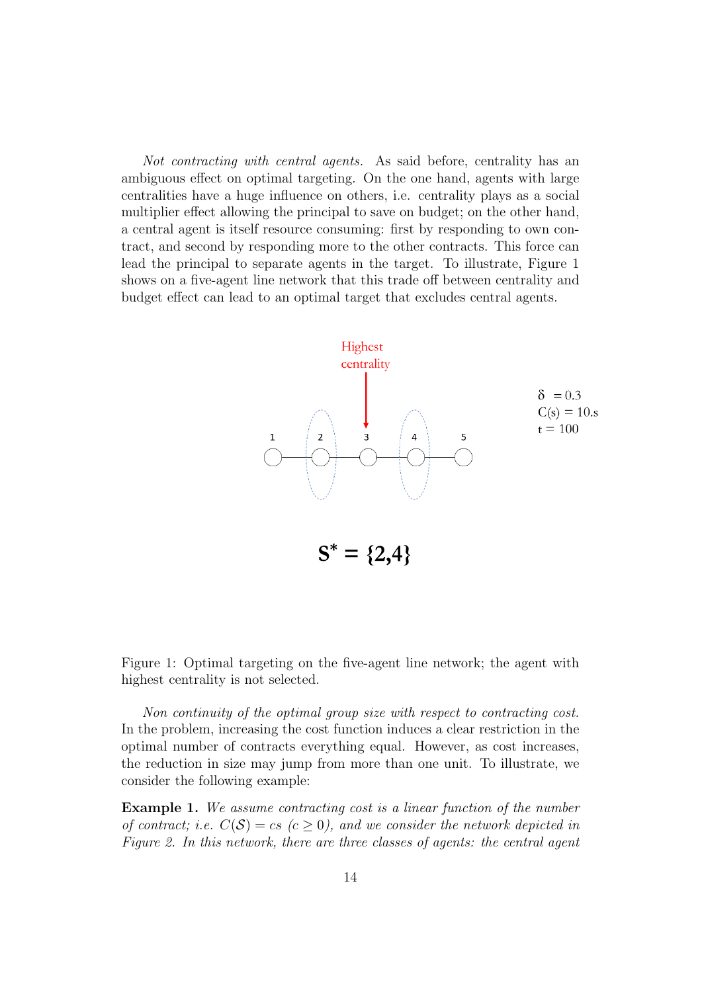Not contracting with central agents. As said before, centrality has an ambiguous effect on optimal targeting. On the one hand, agents with large centralities have a huge influence on others, i.e. centrality plays as a social multiplier effect allowing the principal to save on budget; on the other hand, a central agent is itself resource consuming: first by responding to own contract, and second by responding more to the other contracts. This force can lead the principal to separate agents in the target. To illustrate, Figure 1 shows on a five-agent line network that this trade off between centrality and budget effect can lead to an optimal target that excludes central agents.



Figure 1: Optimal targeting on the five-agent line network; the agent with highest centrality is not selected.

Non continuity of the optimal group size with respect to contracting cost. In the problem, increasing the cost function induces a clear restriction in the optimal number of contracts everything equal. However, as cost increases, the reduction in size may jump from more than one unit. To illustrate, we consider the following example:

Example 1. We assume contracting cost is a linear function of the number of contract; i.e.  $C(S) = cs$  ( $c \ge 0$ ), and we consider the network depicted in Figure 2. In this network, there are three classes of agents: the central agent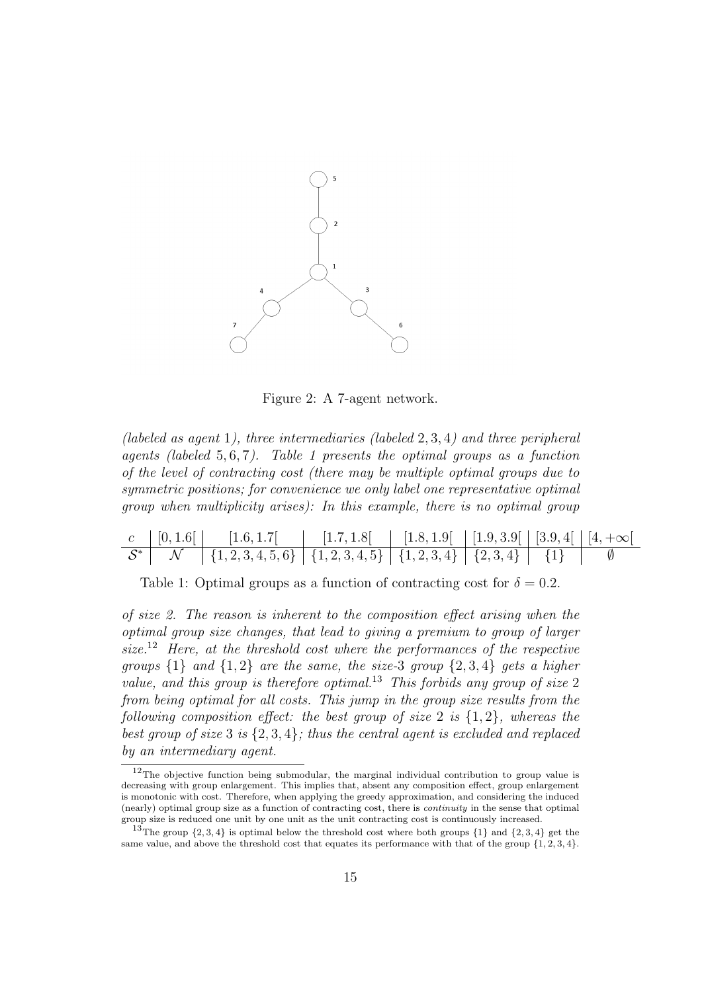

Figure 2: A 7-agent network.

(labeled as agent 1), three intermediaries (labeled 2, 3, 4) and three peripheral agents (labeled  $5, 6, 7$ ). Table 1 presents the optimal groups as a function of the level of contracting cost (there may be multiple optimal groups due to symmetric positions; for convenience we only label one representative optimal group when multiplicity arises): In this example, there is no optimal group

| [0, 1.6] | [1.6, 1.7]                                                          | [1.7, 1.8] | $[1.8, 1.9]$ $[1.9, 3.9]$ $[3.9, 4]$ $[4, +\infty]$ |  |  |
|----------|---------------------------------------------------------------------|------------|-----------------------------------------------------|--|--|
|          | $\{1,2,3,4,5,6\}$ $\{1,2,3,4,5\}$ $\{1,2,3,4\}$ $\{2,3,4\}$ $\{1\}$ |            |                                                     |  |  |

Table 1: Optimal groups as a function of contracting cost for  $\delta = 0.2$ .

of size 2. The reason is inherent to the composition effect arising when the optimal group size changes, that lead to giving a premium to group of larger size.<sup>12</sup> Here, at the threshold cost where the performances of the respective groups  $\{1\}$  and  $\{1,2\}$  are the same, the size-3 group  $\{2,3,4\}$  gets a higher value, and this group is therefore optimal.<sup>13</sup> This forbids any group of size 2 from being optimal for all costs. This jump in the group size results from the following composition effect: the best group of size 2 is  $\{1,2\}$ , whereas the best group of size 3 is  $\{2,3,4\}$ ; thus the central agent is excluded and replaced by an intermediary agent.

 $12$ The objective function being submodular, the marginal individual contribution to group value is decreasing with group enlargement. This implies that, absent any composition effect, group enlargement is monotonic with cost. Therefore, when applying the greedy approximation, and considering the induced (nearly) optimal group size as a function of contracting cost, there is continuity in the sense that optimal group size is reduced one unit by one unit as the unit contracting cost is continuously increased.

<sup>&</sup>lt;sup>13</sup>The group  $\{2, 3, 4\}$  is optimal below the threshold cost where both groups  $\{1\}$  and  $\{2, 3, 4\}$  get the same value, and above the threshold cost that equates its performance with that of the group  $\{1, 2, 3, 4\}$ .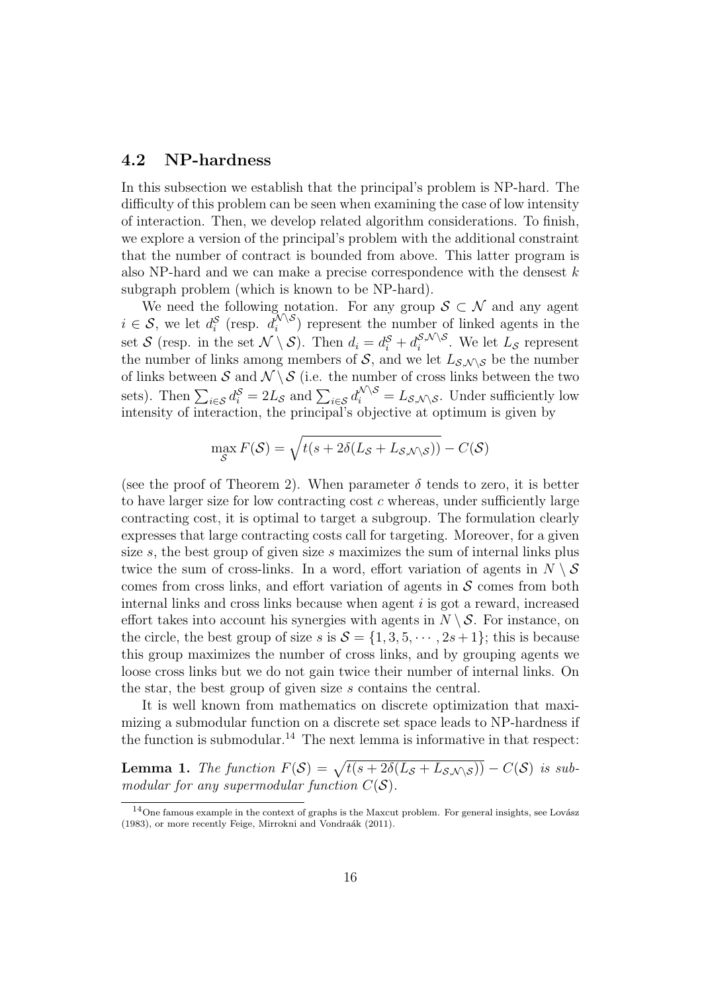#### 4.2 NP-hardness

In this subsection we establish that the principal's problem is NP-hard. The difficulty of this problem can be seen when examining the case of low intensity of interaction. Then, we develop related algorithm considerations. To finish, we explore a version of the principal's problem with the additional constraint that the number of contract is bounded from above. This latter program is also NP-hard and we can make a precise correspondence with the densest  $k$ subgraph problem (which is known to be NP-hard).

We need the following notation. For any group  $S \subset \mathcal{N}$  and any agent  $i \in \mathcal{S}$ , we let  $d_i^{\mathcal{S}}$  (resp.  $d_i^{\mathcal{N} \setminus \mathcal{S}}$  $\binom{10}{i}$  represent the number of linked agents in the set S (resp. in the set  $\mathcal{N} \setminus \mathcal{S}$ ). Then  $d_i = d_i^{\mathcal{S}} + d_i^{\mathcal{S},\mathcal{N} \setminus \mathcal{S}}$  $\sum_{i}^{\infty}$ , We let  $L_{\mathcal{S}}$  represent the number of links among members of S, and we let  $L_{\mathcal{S},\mathcal{N}\setminus\mathcal{S}}$  be the number of links between S and  $\mathcal{N} \setminus \mathcal{S}$  (i.e. the number of cross links between the two sets). Then  $\sum_{i \in S} d_i^S = 2L_S$  and  $\sum_{i \in S} d_i^{\mathcal{N} \setminus S} = L_{\mathcal{S},\mathcal{N} \setminus \mathcal{S}}$ . Under sufficiently low intensity of interaction, the principal's objective at optimum is given by

$$
\max_{\mathcal{S}} F(\mathcal{S}) = \sqrt{t(s + 2\delta(L_{\mathcal{S}} + L_{\mathcal{S}, \mathcal{N} \setminus \mathcal{S}}))} - C(\mathcal{S})
$$

(see the proof of Theorem 2). When parameter  $\delta$  tends to zero, it is better to have larger size for low contracting cost  $c$  whereas, under sufficiently large contracting cost, it is optimal to target a subgroup. The formulation clearly expresses that large contracting costs call for targeting. Moreover, for a given size s, the best group of given size s maximizes the sum of internal links plus twice the sum of cross-links. In a word, effort variation of agents in  $N \setminus \mathcal{S}$ comes from cross links, and effort variation of agents in  $\mathcal S$  comes from both internal links and cross links because when agent i is got a reward, increased effort takes into account his synergies with agents in  $N \setminus S$ . For instance, on the circle, the best group of size s is  $S = \{1, 3, 5, \dots, 2s + 1\}$ ; this is because this group maximizes the number of cross links, and by grouping agents we loose cross links but we do not gain twice their number of internal links. On the star, the best group of given size s contains the central.

It is well known from mathematics on discrete optimization that maximizing a submodular function on a discrete set space leads to NP-hardness if the function is submodular.<sup>14</sup> The next lemma is informative in that respect:

**Lemma 1.** The function  $F(S) = \sqrt{t(s + 2\delta(L_S + L_{S,\mathcal{N}\setminus S}))} - C(S)$  is submodular for any supermodular function  $C(S)$ .

 $14$ One famous example in the context of graphs is the Maxcut problem. For general insights, see Lovász (1983), or more recently Feige, Mirrokni and Vondraák (2011).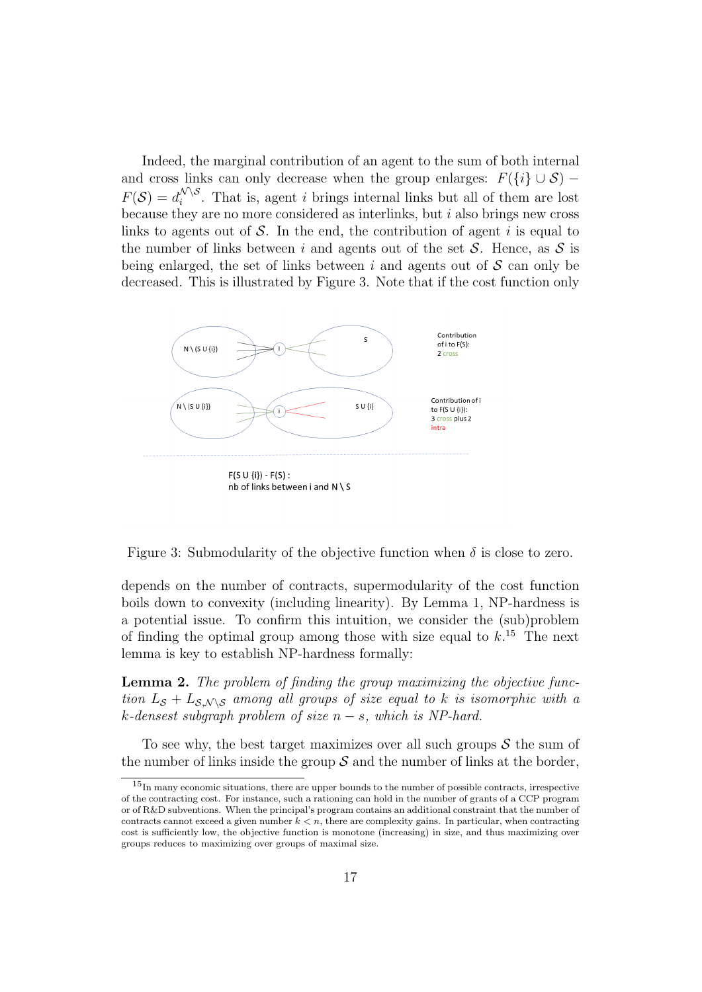Indeed, the marginal contribution of an agent to the sum of both internal and cross links can only decrease when the group enlarges:  $F({i} \cup S)$  –  $F(\mathcal{S}) = d_i^{\mathcal{N} \setminus \mathcal{S}}$  $i<sup>N</sup>$ . That is, agent *i* brings internal links but all of them are lost because they are no more considered as interlinks, but i also brings new cross links to agents out of  $S$ . In the end, the contribution of agent i is equal to the number of links between i and agents out of the set  $S$ . Hence, as  $S$  is being enlarged, the set of links between i and agents out of  $S$  can only be decreased. This is illustrated by Figure 3. Note that if the cost function only



Figure 3: Submodularity of the objective function when  $\delta$  is close to zero.

depends on the number of contracts, supermodularity of the cost function boils down to convexity (including linearity). By Lemma 1, NP-hardness is a potential issue. To confirm this intuition, we consider the (sub)problem of finding the optimal group among those with size equal to  $k$ <sup>15</sup>. The next lemma is key to establish NP-hardness formally:

Lemma 2. The problem of finding the group maximizing the objective function  $L_S + L_{S, N \setminus S}$  among all groups of size equal to k is isomorphic with a k-densest subgraph problem of size  $n - s$ , which is NP-hard.

To see why, the best target maximizes over all such groups  $S$  the sum of the number of links inside the group  $S$  and the number of links at the border,

 $15$ In many economic situations, there are upper bounds to the number of possible contracts, irrespective of the contracting cost. For instance, such a rationing can hold in the number of grants of a CCP program or of R&D subventions. When the principal's program contains an additional constraint that the number of contracts cannot exceed a given number  $k < n$ , there are complexity gains. In particular, when contracting cost is sufficiently low, the objective function is monotone (increasing) in size, and thus maximizing over groups reduces to maximizing over groups of maximal size.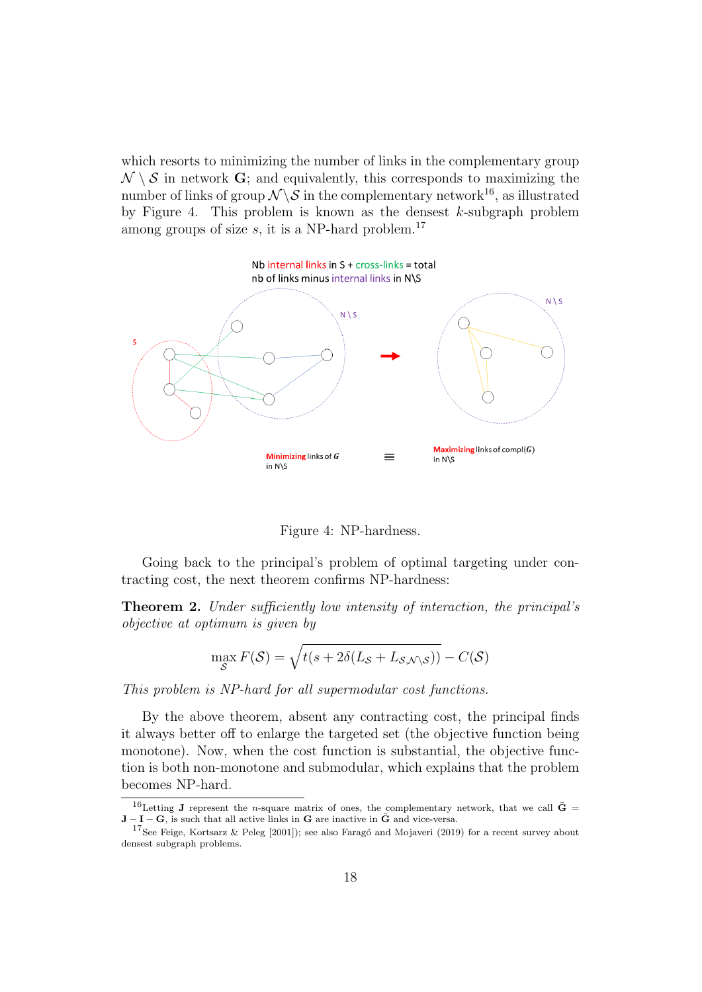which resorts to minimizing the number of links in the complementary group  $\mathcal{N} \setminus \mathcal{S}$  in network G; and equivalently, this corresponds to maximizing the number of links of group  $\mathcal{N} \backslash \mathcal{S}$  in the complementary network<sup>16</sup>, as illustrated by Figure 4. This problem is known as the densest  $k$ -subgraph problem among groups of size  $s$ , it is a NP-hard problem.<sup>17</sup>



Figure 4: NP-hardness.

Going back to the principal's problem of optimal targeting under contracting cost, the next theorem confirms NP-hardness:

Theorem 2. Under sufficiently low intensity of interaction, the principal's objective at optimum is given by

$$
\max_{\mathcal{S}} F(\mathcal{S}) = \sqrt{t(s + 2\delta(L_{\mathcal{S}} + L_{\mathcal{S}, \mathcal{N} \setminus \mathcal{S}}))} - C(\mathcal{S})
$$

This problem is NP-hard for all supermodular cost functions.

By the above theorem, absent any contracting cost, the principal finds it always better off to enlarge the targeted set (the objective function being monotone). Now, when the cost function is substantial, the objective function is both non-monotone and submodular, which explains that the problem becomes NP-hard.

 $^{16}$ Letting **J** represent the *n*-square matrix of ones, the complementary network, that we call  $\bar{G}$  =  $J - I - G$ , is such that all active links in G are inactive in  $\bar{G}$  and vice-versa.

<sup>&</sup>lt;sup>17</sup>See Feige, Kortsarz & Peleg [2001]); see also Faragó and Mojaveri (2019) for a recent survey about densest subgraph problems.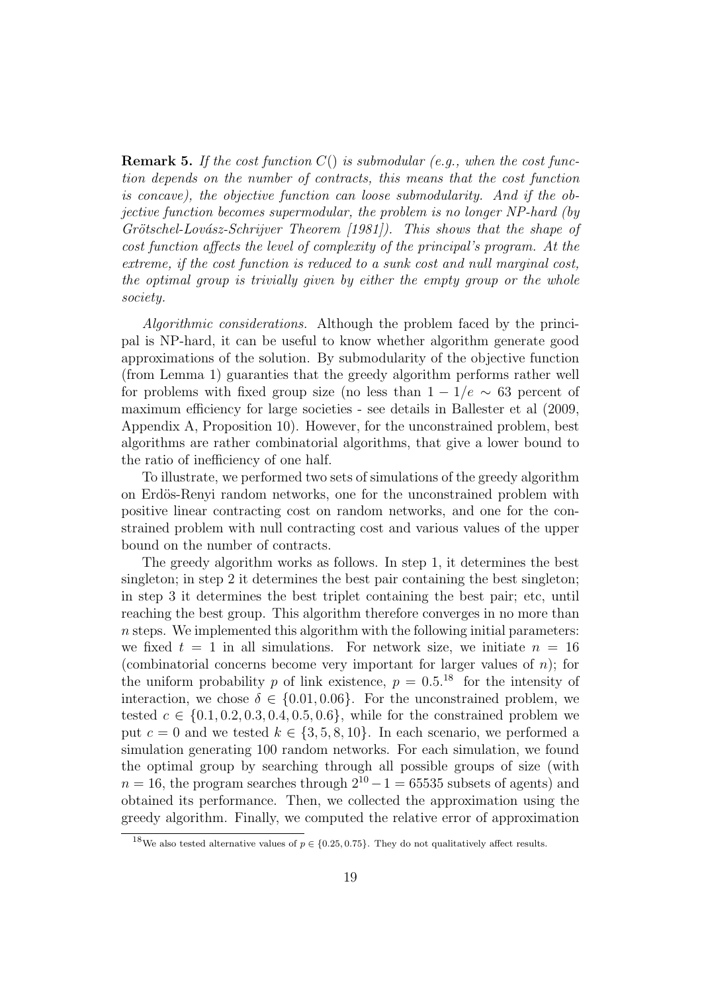**Remark 5.** If the cost function  $C()$  is submodular (e.g., when the cost function depends on the number of contracts, this means that the cost function is concave), the objective function can loose submodularity. And if the objective function becomes supermodular, the problem is no longer NP-hard (by Grötschel-Lovász-Schrijver Theorem [1981]). This shows that the shape of cost function affects the level of complexity of the principal's program. At the extreme, if the cost function is reduced to a sunk cost and null marginal cost, the optimal group is trivially given by either the empty group or the whole society.

Algorithmic considerations. Although the problem faced by the principal is NP-hard, it can be useful to know whether algorithm generate good approximations of the solution. By submodularity of the objective function (from Lemma 1) guaranties that the greedy algorithm performs rather well for problems with fixed group size (no less than  $1 - 1/e \sim 63$  percent of maximum efficiency for large societies - see details in Ballester et al (2009, Appendix A, Proposition 10). However, for the unconstrained problem, best algorithms are rather combinatorial algorithms, that give a lower bound to the ratio of inefficiency of one half.

To illustrate, we performed two sets of simulations of the greedy algorithm on Erdös-Renyi random networks, one for the unconstrained problem with positive linear contracting cost on random networks, and one for the constrained problem with null contracting cost and various values of the upper bound on the number of contracts.

The greedy algorithm works as follows. In step 1, it determines the best singleton; in step 2 it determines the best pair containing the best singleton; in step 3 it determines the best triplet containing the best pair; etc, until reaching the best group. This algorithm therefore converges in no more than  $n$  steps. We implemented this algorithm with the following initial parameters: we fixed  $t = 1$  in all simulations. For network size, we initiate  $n = 16$ (combinatorial concerns become very important for larger values of  $n$ ); for the uniform probability p of link existence,  $p = 0.5^{18}$  for the intensity of interaction, we chose  $\delta \in \{0.01, 0.06\}$ . For the unconstrained problem, we tested  $c \in \{0.1, 0.2, 0.3, 0.4, 0.5, 0.6\}$ , while for the constrained problem we put  $c = 0$  and we tested  $k \in \{3, 5, 8, 10\}$ . In each scenario, we performed a simulation generating 100 random networks. For each simulation, we found the optimal group by searching through all possible groups of size (with  $n = 16$ , the program searches through  $2^{10} - 1 = 65535$  subsets of agents) and obtained its performance. Then, we collected the approximation using the greedy algorithm. Finally, we computed the relative error of approximation

<sup>&</sup>lt;sup>18</sup>We also tested alternative values of  $p \in \{0.25, 0.75\}$ . They do not qualitatively affect results.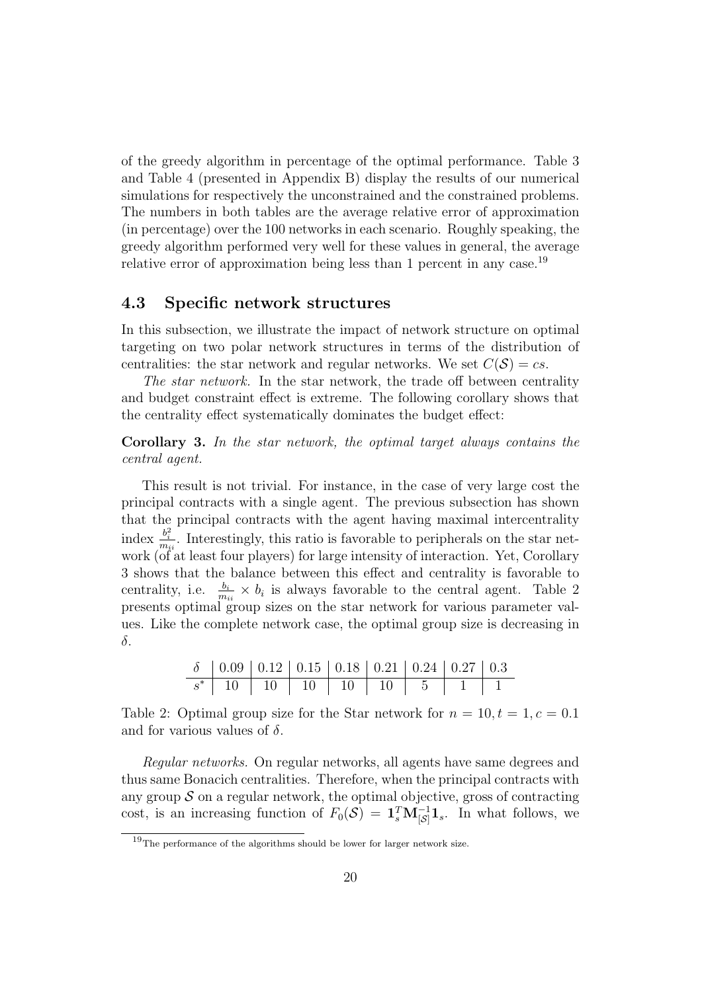of the greedy algorithm in percentage of the optimal performance. Table 3 and Table 4 (presented in Appendix B) display the results of our numerical simulations for respectively the unconstrained and the constrained problems. The numbers in both tables are the average relative error of approximation (in percentage) over the 100 networks in each scenario. Roughly speaking, the greedy algorithm performed very well for these values in general, the average relative error of approximation being less than 1 percent in any case.<sup>19</sup>

#### 4.3 Specific network structures

In this subsection, we illustrate the impact of network structure on optimal targeting on two polar network structures in terms of the distribution of centralities: the star network and regular networks. We set  $C(S) = cs$ .

The star network. In the star network, the trade off between centrality and budget constraint effect is extreme. The following corollary shows that the centrality effect systematically dominates the budget effect:

Corollary 3. In the star network, the optimal target always contains the central agent.

This result is not trivial. For instance, in the case of very large cost the principal contracts with a single agent. The previous subsection has shown that the principal contracts with the agent having maximal intercentrality index  $\frac{b_i^2}{m_{ii}}$ . Interestingly, this ratio is favorable to peripherals on the star network (of at least four players) for large intensity of interaction. Yet, Corollary 3 shows that the balance between this effect and centrality is favorable to centrality, i.e.  $\frac{b_i}{m_{ii}} \times b_i$  is always favorable to the central agent. Table 2 presents optimal group sizes on the star network for various parameter values. Like the complete network case, the optimal group size is decreasing in δ.

|  | $\delta$   0.09   0.12   0.15   0.18   0.21   0.24   0.27   0.3 |  |  |  |
|--|-----------------------------------------------------------------|--|--|--|
|  | $s^*$ 10 10 10 10 10 10 5 1 1                                   |  |  |  |

Table 2: Optimal group size for the Star network for  $n = 10, t = 1, c = 0.1$ and for various values of  $\delta$ .

Regular networks. On regular networks, all agents have same degrees and thus same Bonacich centralities. Therefore, when the principal contracts with any group  $\mathcal S$  on a regular network, the optimal objective, gross of contracting cost, is an increasing function of  $F_0(\mathcal{S}) = \mathbf{1}_s^T \mathbf{M}_{|\mathcal{S}|}^{-1} \mathbf{1}_s$ . In what follows, we

 $19$ The performance of the algorithms should be lower for larger network size.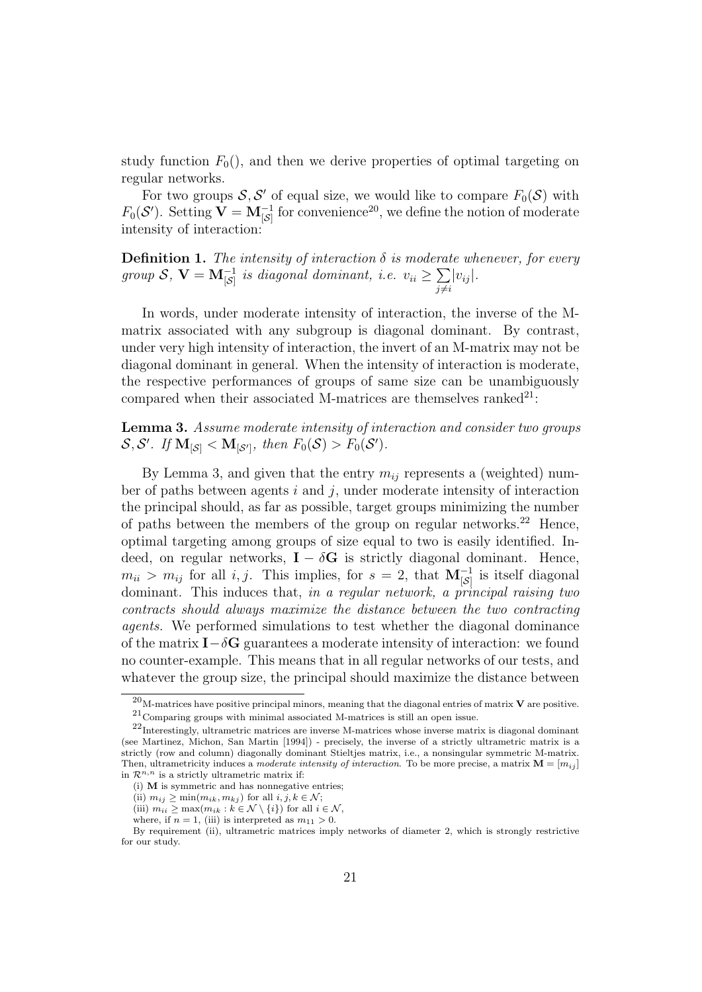study function  $F_0()$ , and then we derive properties of optimal targeting on regular networks.

For two groups  $S, S'$  of equal size, we would like to compare  $F_0(S)$  with  $F_0(\mathcal{S}')$ . Setting  $\mathbf{V} = \mathbf{M}_{\left[\mathcal{S}\right]}^{-1}$  for convenience<sup>20</sup>, we define the notion of moderate intensity of interaction:

**Definition 1.** The intensity of interaction  $\delta$  is moderate whenever, for every group  $S$ ,  $V = M_{\begin{bmatrix} S \end{bmatrix}}^{-1}$  is diagonal dominant, i.e.  $v_{ii} \ge \sum_{i}$  $j\neq i$  $|v_{ij}|$ .

In words, under moderate intensity of interaction, the inverse of the Mmatrix associated with any subgroup is diagonal dominant. By contrast, under very high intensity of interaction, the invert of an M-matrix may not be diagonal dominant in general. When the intensity of interaction is moderate, the respective performances of groups of same size can be unambiguously compared when their associated M-matrices are themselves ranked $^{21}$ :

Lemma 3. Assume moderate intensity of interaction and consider two groups  $S, S'.$  If  $M_{\lbrack S \rbrack} < M_{\lbrack S' \rbrack}$ , then  $F_0(S) > F_0(S')$ .

By Lemma 3, and given that the entry  $m_{ij}$  represents a (weighted) number of paths between agents  $i$  and  $j$ , under moderate intensity of interaction the principal should, as far as possible, target groups minimizing the number of paths between the members of the group on regular networks.<sup>22</sup> Hence, optimal targeting among groups of size equal to two is easily identified. Indeed, on regular networks,  $I - \delta G$  is strictly diagonal dominant. Hence,  $m_{ii} > m_{ij}$  for all *i*, *j*. This implies, for  $s = 2$ , that  $\mathbf{M}_{\begin{bmatrix}S\end{bmatrix}}^{-1}$  is itself diagonal dominant. This induces that, in a regular network, a principal raising two contracts should always maximize the distance between the two contracting agents. We performed simulations to test whether the diagonal dominance of the matrix  $I-\delta G$  guarantees a moderate intensity of interaction: we found no counter-example. This means that in all regular networks of our tests, and whatever the group size, the principal should maximize the distance between

 $^{20}$ M-matrices have positive principal minors, meaning that the diagonal entries of matrix **V** are positive.  $21$ Comparing groups with minimal associated M-matrices is still an open issue.

 $^{22}$ Interestingly, ultrametric matrices are inverse M-matrices whose inverse matrix is diagonal dominant (see Martinez, Michon, San Martin [1994]) - precisely, the inverse of a strictly ultrametric matrix is a strictly (row and column) diagonally dominant Stieltjes matrix, i.e., a nonsingular symmetric M-matrix. Then, ultrametricity induces a moderate intensity of interaction. To be more precise, a matrix  $\mathbf{M} = [m_{ij}]$ in  $\mathcal{R}^{n,n}$  is a strictly ultrametric matrix if:

<sup>(</sup>i) M is symmetric and has nonnegative entries;

<sup>(</sup>ii)  $m_{ij} \ge \min(m_{ik}, m_{kj})$  for all  $i, j, k \in \mathcal{N}$ ;

<sup>(</sup>iii)  $m_{ii} \ge \max(m_{ik} : k \in \mathcal{N} \setminus \{i\})$  for all  $i \in \mathcal{N}$ ,

where, if  $n = 1$ , (iii) is interpreted as  $m_{11} > 0$ .

By requirement (ii), ultrametric matrices imply networks of diameter 2, which is strongly restrictive for our study.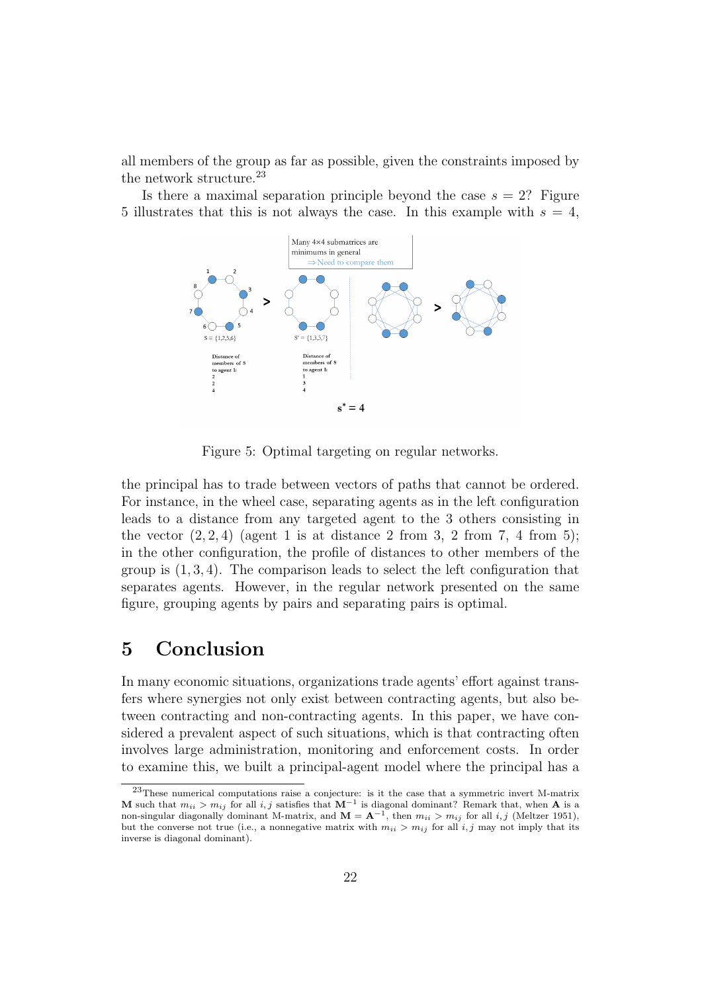all members of the group as far as possible, given the constraints imposed by the network structure.<sup>23</sup>

Is there a maximal separation principle beyond the case  $s = 2$ ? Figure 5 illustrates that this is not always the case. In this example with  $s = 4$ ,



Figure 5: Optimal targeting on regular networks.

the principal has to trade between vectors of paths that cannot be ordered. For instance, in the wheel case, separating agents as in the left configuration leads to a distance from any targeted agent to the 3 others consisting in the vector  $(2, 2, 4)$  (agent 1 is at distance 2 from 3, 2 from 7, 4 from 5); in the other configuration, the profile of distances to other members of the group is  $(1, 3, 4)$ . The comparison leads to select the left configuration that separates agents. However, in the regular network presented on the same figure, grouping agents by pairs and separating pairs is optimal.

# 5 Conclusion

In many economic situations, organizations trade agents' effort against transfers where synergies not only exist between contracting agents, but also between contracting and non-contracting agents. In this paper, we have considered a prevalent aspect of such situations, which is that contracting often involves large administration, monitoring and enforcement costs. In order to examine this, we built a principal-agent model where the principal has a

<sup>23</sup>These numerical computations raise a conjecture: is it the case that a symmetric invert M-matrix M such that  $m_{ii} > m_{ij}$  for all i, j satisfies that  $M^{-1}$  is diagonal dominant? Remark that, when A is a non-singular diagonally dominant M-matrix, and  $\mathbf{M} = \mathbf{A}^{-1}$ , then  $m_{ii} > m_{ij}$  for all *i*, *j* (Meltzer 1951), but the converse not true (i.e., a nonnegative matrix with  $m_{ii} > m_{ij}$  for all i, j may not imply that its inverse is diagonal dominant).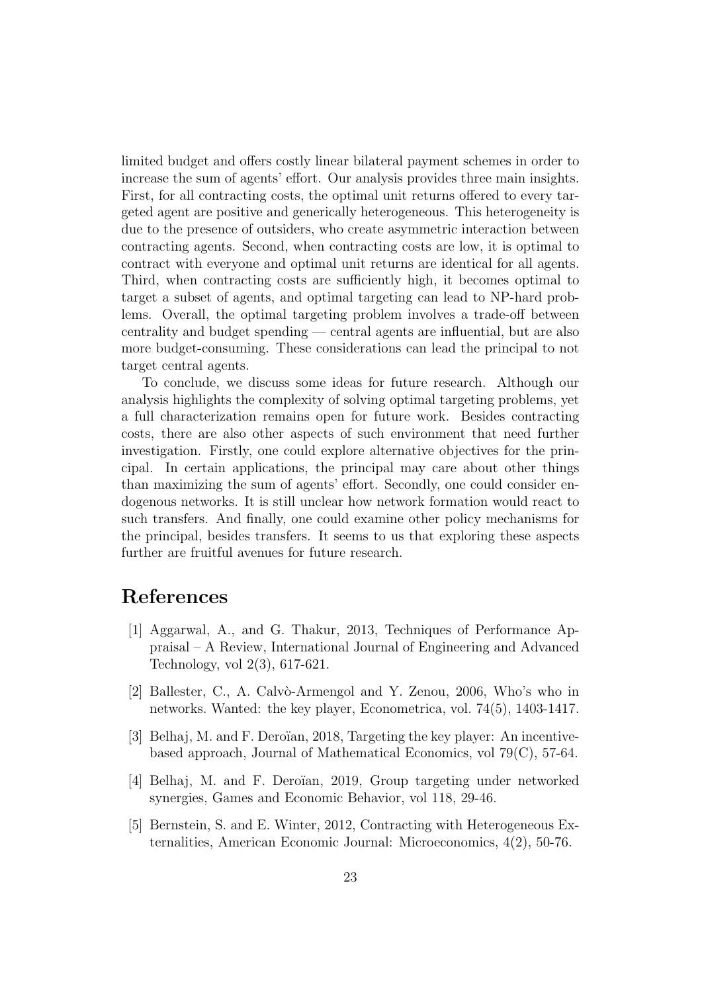limited budget and offers costly linear bilateral payment schemes in order to increase the sum of agents' effort. Our analysis provides three main insights. First, for all contracting costs, the optimal unit returns offered to every targeted agent are positive and generically heterogeneous. This heterogeneity is due to the presence of outsiders, who create asymmetric interaction between contracting agents. Second, when contracting costs are low, it is optimal to contract with everyone and optimal unit returns are identical for all agents. Third, when contracting costs are sufficiently high, it becomes optimal to target a subset of agents, and optimal targeting can lead to NP-hard problems. Overall, the optimal targeting problem involves a trade-off between centrality and budget spending — central agents are influential, but are also more budget-consuming. These considerations can lead the principal to not target central agents.

To conclude, we discuss some ideas for future research. Although our analysis highlights the complexity of solving optimal targeting problems, yet a full characterization remains open for future work. Besides contracting costs, there are also other aspects of such environment that need further investigation. Firstly, one could explore alternative objectives for the principal. In certain applications, the principal may care about other things than maximizing the sum of agents' effort. Secondly, one could consider endogenous networks. It is still unclear how network formation would react to such transfers. And finally, one could examine other policy mechanisms for the principal, besides transfers. It seems to us that exploring these aspects further are fruitful avenues for future research.

# References

- [1] Aggarwal, A., and G. Thakur, 2013, Techniques of Performance Appraisal – A Review, International Journal of Engineering and Advanced Technology, vol 2(3), 617-621.
- [2] Ballester, C., A. Calvò-Armengol and Y. Zenou, 2006, Who's who in networks. Wanted: the key player, Econometrica, vol. 74(5), 1403-1417.
- [3] Belhaj, M. and F. Dero¨ıan, 2018, Targeting the key player: An incentivebased approach, Journal of Mathematical Economics, vol 79(C), 57-64.
- [4] Belhaj, M. and F. Deroïan, 2019, Group targeting under networked synergies, Games and Economic Behavior, vol 118, 29-46.
- [5] Bernstein, S. and E. Winter, 2012, Contracting with Heterogeneous Externalities, American Economic Journal: Microeconomics, 4(2), 50-76.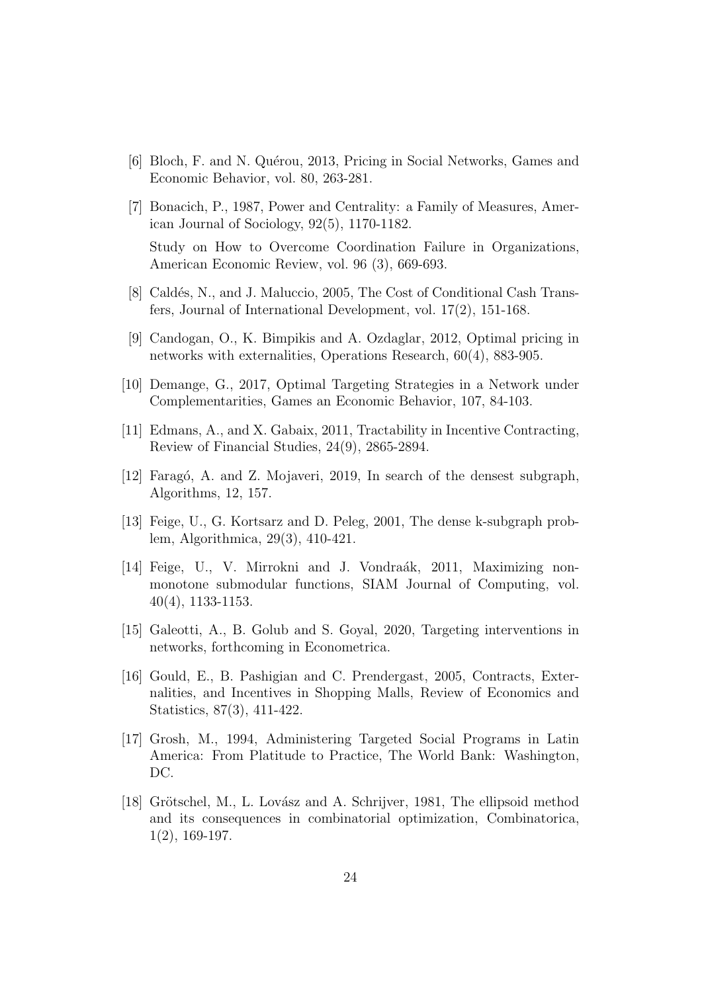- [6] Bloch, F. and N. Quérou, 2013, Pricing in Social Networks, Games and Economic Behavior, vol. 80, 263-281.
- [7] Bonacich, P., 1987, Power and Centrality: a Family of Measures, American Journal of Sociology, 92(5), 1170-1182. Study on How to Overcome Coordination Failure in Organizations, American Economic Review, vol. 96 (3), 669-693.
- [8] Caldés, N., and J. Maluccio, 2005, The Cost of Conditional Cash Transfers, Journal of International Development, vol. 17(2), 151-168.
- [9] Candogan, O., K. Bimpikis and A. Ozdaglar, 2012, Optimal pricing in networks with externalities, Operations Research, 60(4), 883-905.
- [10] Demange, G., 2017, Optimal Targeting Strategies in a Network under Complementarities, Games an Economic Behavior, 107, 84-103.
- [11] Edmans, A., and X. Gabaix, 2011, Tractability in Incentive Contracting, Review of Financial Studies, 24(9), 2865-2894.
- [12] Faragó, A. and Z. Mojaveri, 2019, In search of the densest subgraph, Algorithms, 12, 157.
- [13] Feige, U., G. Kortsarz and D. Peleg, 2001, The dense k-subgraph problem, Algorithmica, 29(3), 410-421.
- [14] Feige, U., V. Mirrokni and J. Vondraák, 2011, Maximizing nonmonotone submodular functions, SIAM Journal of Computing, vol. 40(4), 1133-1153.
- [15] Galeotti, A., B. Golub and S. Goyal, 2020, Targeting interventions in networks, forthcoming in Econometrica.
- [16] Gould, E., B. Pashigian and C. Prendergast, 2005, Contracts, Externalities, and Incentives in Shopping Malls, Review of Economics and Statistics, 87(3), 411-422.
- [17] Grosh, M., 1994, Administering Targeted Social Programs in Latin America: From Platitude to Practice, The World Bank: Washington, DC.
- [18] Grötschel, M., L. Lovász and A. Schrijver, 1981, The ellipsoid method and its consequences in combinatorial optimization, Combinatorica, 1(2), 169-197.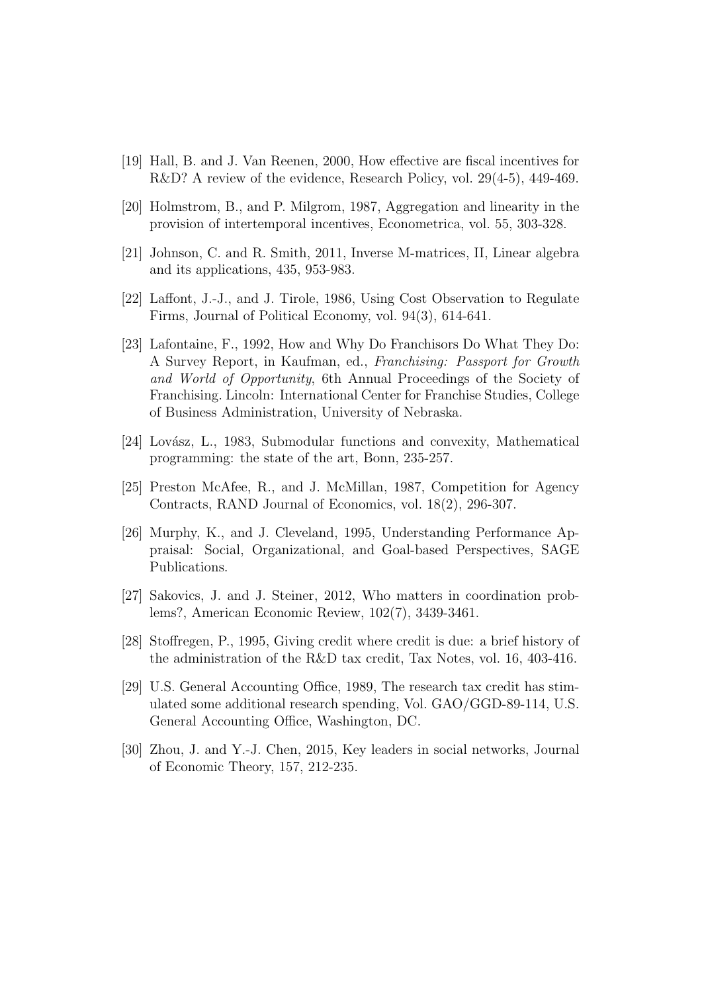- [19] Hall, B. and J. Van Reenen, 2000, How effective are fiscal incentives for R&D? A review of the evidence, Research Policy, vol. 29(4-5), 449-469.
- [20] Holmstrom, B., and P. Milgrom, 1987, Aggregation and linearity in the provision of intertemporal incentives, Econometrica, vol. 55, 303-328.
- [21] Johnson, C. and R. Smith, 2011, Inverse M-matrices, II, Linear algebra and its applications, 435, 953-983.
- [22] Laffont, J.-J., and J. Tirole, 1986, Using Cost Observation to Regulate Firms, Journal of Political Economy, vol. 94(3), 614-641.
- [23] Lafontaine, F., 1992, How and Why Do Franchisors Do What They Do: A Survey Report, in Kaufman, ed., Franchising: Passport for Growth and World of Opportunity, 6th Annual Proceedings of the Society of Franchising. Lincoln: International Center for Franchise Studies, College of Business Administration, University of Nebraska.
- $[24]$  Lovász, L., 1983, Submodular functions and convexity, Mathematical programming: the state of the art, Bonn, 235-257.
- [25] Preston McAfee, R., and J. McMillan, 1987, Competition for Agency Contracts, RAND Journal of Economics, vol. 18(2), 296-307.
- [26] Murphy, K., and J. Cleveland, 1995, Understanding Performance Appraisal: Social, Organizational, and Goal-based Perspectives, SAGE Publications.
- [27] Sakovics, J. and J. Steiner, 2012, Who matters in coordination problems?, American Economic Review, 102(7), 3439-3461.
- [28] Stoffregen, P., 1995, Giving credit where credit is due: a brief history of the administration of the R&D tax credit, Tax Notes, vol. 16, 403-416.
- [29] U.S. General Accounting Office, 1989, The research tax credit has stimulated some additional research spending, Vol. GAO/GGD-89-114, U.S. General Accounting Office, Washington, DC.
- [30] Zhou, J. and Y.-J. Chen, 2015, Key leaders in social networks, Journal of Economic Theory, 157, 212-235.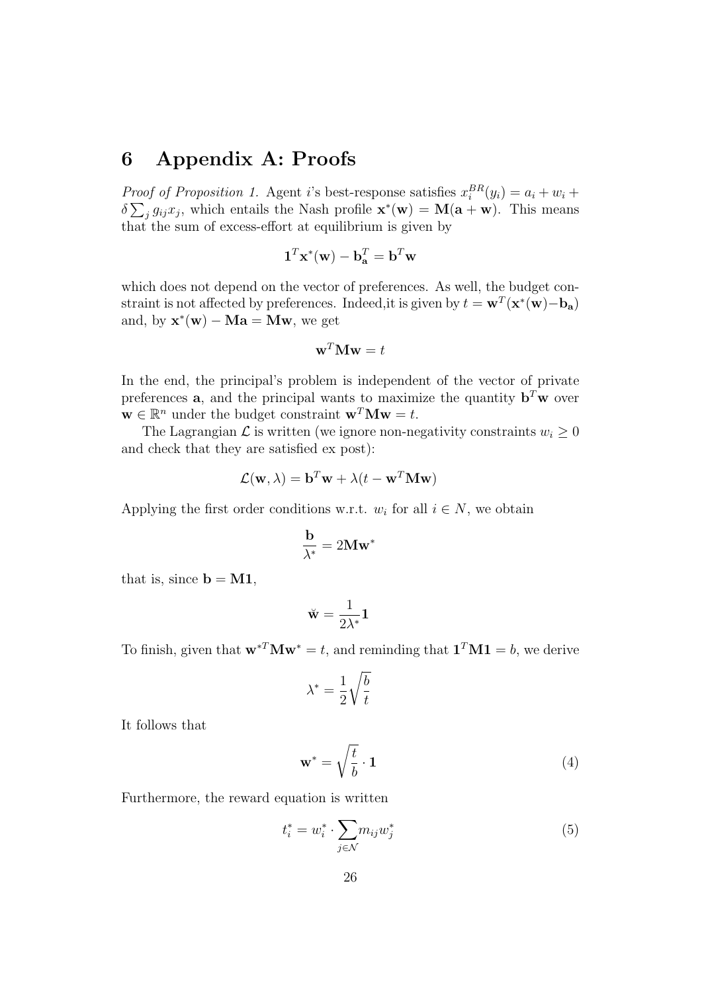# 6 Appendix A: Proofs

*Proof of Proposition 1.* Agent *i*'s best-response satisfies  $x_i^{BR}(y_i) = a_i + w_i +$  $\delta \sum_{j} g_{ij} x_j$ , which entails the Nash profile  $\mathbf{x}^*(\mathbf{w}) = \mathbf{M}(\mathbf{a} + \mathbf{w})$ . This means that the sum of excess-effort at equilibrium is given by

$$
\mathbf{1}^T\mathbf{x}^*(\mathbf{w}) - \mathbf{b}_\mathbf{a}^T = \mathbf{b}^T\mathbf{w}
$$

which does not depend on the vector of preferences. As well, the budget constraint is not affected by preferences. Indeed, it is given by  $t = \mathbf{w}^T(\mathbf{x}^*(\mathbf{w}) - \mathbf{b}_\mathbf{a})$ and, by  $\mathbf{x}^*(\mathbf{w}) - \mathbf{M}\mathbf{a} = \mathbf{M}\mathbf{w}$ , we get

$$
\mathbf{w}^T \mathbf{M} \mathbf{w} = t
$$

In the end, the principal's problem is independent of the vector of private preferences **a**, and the principal wants to maximize the quantity  $\mathbf{b}^T \mathbf{w}$  over  $\mathbf{w} \in \mathbb{R}^n$  under the budget constraint  $\mathbf{w}^T \mathbf{M} \mathbf{w} = t$ .

The Lagrangian  $\mathcal L$  is written (we ignore non-negativity constraints  $w_i \geq 0$ and check that they are satisfied ex post):

$$
\mathcal{L}(\mathbf{w}, \lambda) = \mathbf{b}^T \mathbf{w} + \lambda (t - \mathbf{w}^T \mathbf{M} \mathbf{w})
$$

Applying the first order conditions w.r.t.  $w_i$  for all  $i \in N$ , we obtain

$$
\frac{\mathbf{b}}{\lambda^*} = 2\mathbf{M}\mathbf{w}^*
$$

that is, since  $\mathbf{b} = \mathbf{M} \mathbf{1}$ ,

$$
\breve{\mathbf{w}} = \frac{1}{2\lambda^*} \mathbf{1}
$$

To finish, given that  $\mathbf{w}^{*T} \mathbf{M} \mathbf{w}^* = t$ , and reminding that  $\mathbf{1}^T \mathbf{M} \mathbf{1} = b$ , we derive

$$
\lambda^* = \frac{1}{2} \sqrt{\frac{b}{t}}
$$

It follows that

$$
\mathbf{w}^* = \sqrt{\frac{t}{b}} \cdot \mathbf{1} \tag{4}
$$

Furthermore, the reward equation is written

$$
t_i^* = w_i^* \cdot \sum_{j \in \mathcal{N}} m_{ij} w_j^* \tag{5}
$$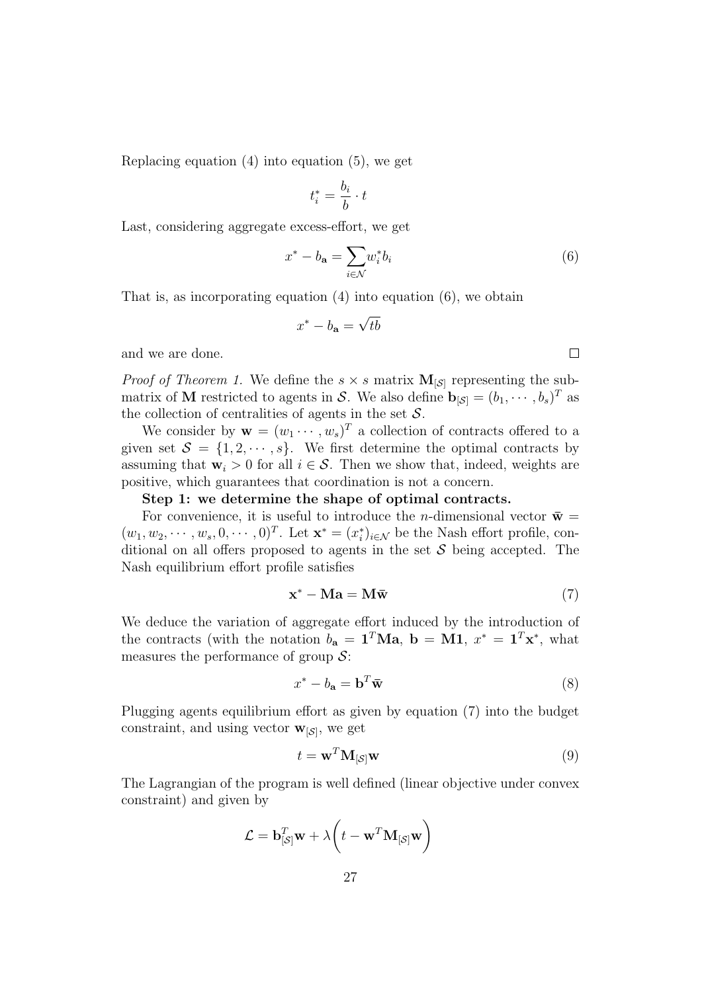Replacing equation (4) into equation (5), we get

$$
t_i^* = \frac{b_i}{b} \cdot t
$$

Last, considering aggregate excess-effort, we get

$$
x^* - b_{\mathbf{a}} = \sum_{i \in \mathcal{N}} w_i^* b_i \tag{6}
$$

That is, as incorporating equation (4) into equation (6), we obtain

$$
x^* - b_{\mathbf{a}} = \sqrt{tb}
$$

and we are done.

*Proof of Theorem 1.* We define the  $s \times s$  matrix  $M_{\lbrack S \rbrack}$  representing the submatrix of **M** restricted to agents in S. We also define  $\mathbf{b}_{\left[\mathcal{S}\right]} = (b_1, \cdots, b_s)^T$  as the collection of centralities of agents in the set  $S$ .

We consider by  $\mathbf{w} = (w_1 \cdots, w_s)^T$  a collection of contracts offered to a given set  $S = \{1, 2, \dots, s\}$ . We first determine the optimal contracts by assuming that  $\mathbf{w}_i > 0$  for all  $i \in \mathcal{S}$ . Then we show that, indeed, weights are positive, which guarantees that coordination is not a concern.

#### Step 1: we determine the shape of optimal contracts.

For convenience, it is useful to introduce the *n*-dimensional vector  $\bar{\mathbf{w}} =$  $(w_1, w_2, \dots, w_s, 0, \dots, 0)^T$ . Let  $\mathbf{x}^* = (x_i^*)_{i \in \mathcal{N}}$  be the Nash effort profile, conditional on all offers proposed to agents in the set  $\mathcal S$  being accepted. The Nash equilibrium effort profile satisfies

$$
\mathbf{x}^* - \mathbf{M}\mathbf{a} = \mathbf{M}\mathbf{\bar{w}} \tag{7}
$$

We deduce the variation of aggregate effort induced by the introduction of the contracts (with the notation  $b_a = \mathbf{1}^T \mathbf{M} \mathbf{a}$ ,  $\mathbf{b} = \mathbf{M} \mathbf{1}$ ,  $x^* = \mathbf{1}^T \mathbf{x}^*$ , what measures the performance of group  $S$ :

$$
x^* - b_\mathbf{a} = \mathbf{b}^T \mathbf{\bar{w}} \tag{8}
$$

Plugging agents equilibrium effort as given by equation (7) into the budget constraint, and using vector  $\mathbf{w}_{\lbrack\mathcal{S}\rbrack}$ , we get

$$
t = \mathbf{w}^T \mathbf{M}_{\left[\mathcal{S}\right]} \mathbf{w} \tag{9}
$$

The Lagrangian of the program is well defined (linear objective under convex constraint) and given by

$$
\mathcal{L} = \mathbf{b}_{[\mathcal{S}]}^T \mathbf{w} + \lambda \bigg( t - \mathbf{w}^T \mathbf{M}_{[\mathcal{S}]} \mathbf{w} \bigg)
$$

 $\Box$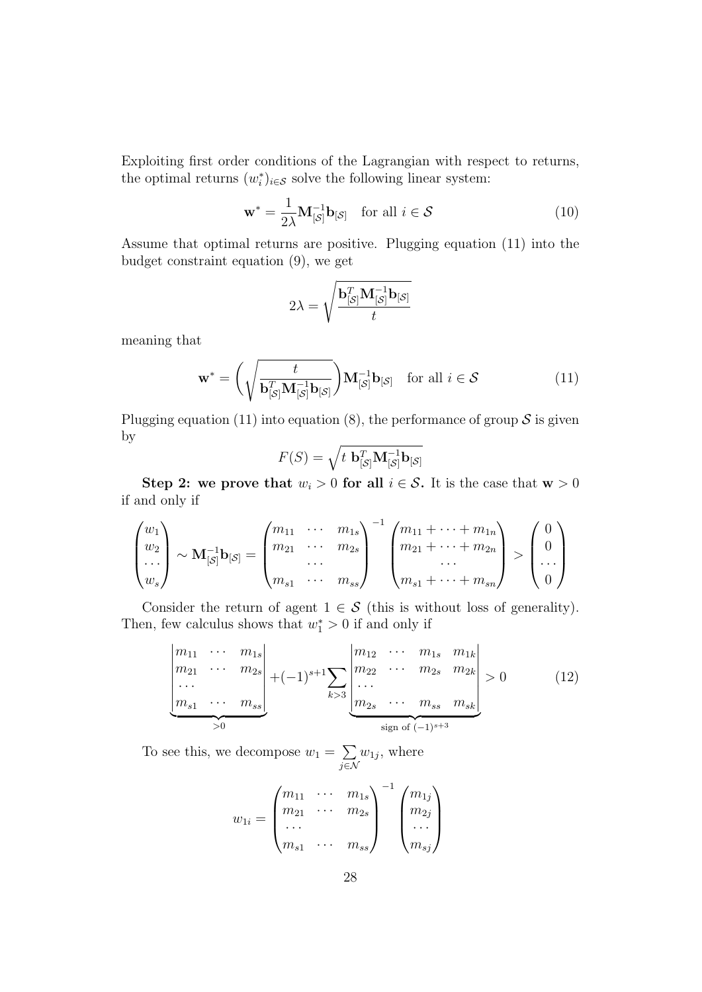Exploiting first order conditions of the Lagrangian with respect to returns, the optimal returns  $(w_i^*)_{i \in \mathcal{S}}$  solve the following linear system:

$$
\mathbf{w}^* = \frac{1}{2\lambda} \mathbf{M}_{\left[\mathcal{S}\right]}^{-1} \mathbf{b}_{\left[\mathcal{S}\right]} \quad \text{for all } i \in \mathcal{S} \tag{10}
$$

Assume that optimal returns are positive. Plugging equation (11) into the budget constraint equation (9), we get

$$
2\lambda = \sqrt{\frac{\mathbf{b}_{[\mathcal{S}]}^T \mathbf{M}_{[\mathcal{S}]}^{-1} \mathbf{b}_{[\mathcal{S}]}}{t}}
$$

meaning that

$$
\mathbf{w}^* = \left(\sqrt{\frac{t}{\mathbf{b}_{[\mathcal{S}]}^T \mathbf{M}_{[\mathcal{S}]}^{-1} \mathbf{b}_{[\mathcal{S}]}}}\right) \mathbf{M}_{[\mathcal{S}]}^{-1} \mathbf{b}_{[\mathcal{S}]} \quad \text{for all } i \in \mathcal{S}
$$
 (11)

Plugging equation (11) into equation (8), the performance of group  $S$  is given by

$$
F(S) = \sqrt{t \mathbf{b}_{[S]}^T \mathbf{M}_{[S]}^{-1} \mathbf{b}_{[S]}}
$$

Step 2: we prove that  $w_i > 0$  for all  $i \in S$ . It is the case that  $w > 0$ if and only if

$$
\begin{pmatrix} w_1 \\ w_2 \\ \dots \\ w_s \end{pmatrix} \sim \mathbf{M}_{\left[S\right]}^{-1} \mathbf{b}_{\left[S\right]} = \begin{pmatrix} m_{11} & \cdots & m_{1s} \\ m_{21} & \cdots & m_{2s} \\ \dots & \dots & \dots \\ m_{s1} & \cdots & m_{ss} \end{pmatrix}^{-1} \begin{pmatrix} m_{11} + \cdots + m_{1n} \\ m_{21} + \cdots + m_{2n} \\ \dots \\ m_{s1} + \cdots + m_{sn} \end{pmatrix} > \begin{pmatrix} 0 \\ 0 \\ \dots \\ 0 \end{pmatrix}
$$

Consider the return of agent  $1 \in S$  (this is without loss of generality). Then, few calculus shows that  $w_1^* > 0$  if and only if

$$
\begin{vmatrix} m_{11} & \cdots & m_{1s} \\ m_{21} & \cdots & m_{2s} \\ \vdots & \vdots & \ddots & \vdots \\ m_{s1} & \cdots & m_{ss} \end{vmatrix} + (-1)^{s+1} \sum_{k>3} \begin{vmatrix} m_{12} & \cdots & m_{1s} & m_{1k} \\ m_{22} & \cdots & m_{2s} & m_{2k} \\ \vdots & \vdots & \ddots & \vdots \\ m_{2s} & \cdots & m_{ss} & m_{sk} \end{vmatrix} > 0
$$
 (12)

To see this, we decompose  $w_1 = \sum$ j∈N  $w_{1j}$ , where

$$
w_{1i} = \begin{pmatrix} m_{11} & \cdots & m_{1s} \\ m_{21} & \cdots & m_{2s} \\ \cdots & \cdots & \cdots \\ m_{s1} & \cdots & m_{ss} \end{pmatrix}^{-1} \begin{pmatrix} m_{1j} \\ m_{2j} \\ \cdots \\ m_{sj} \end{pmatrix}
$$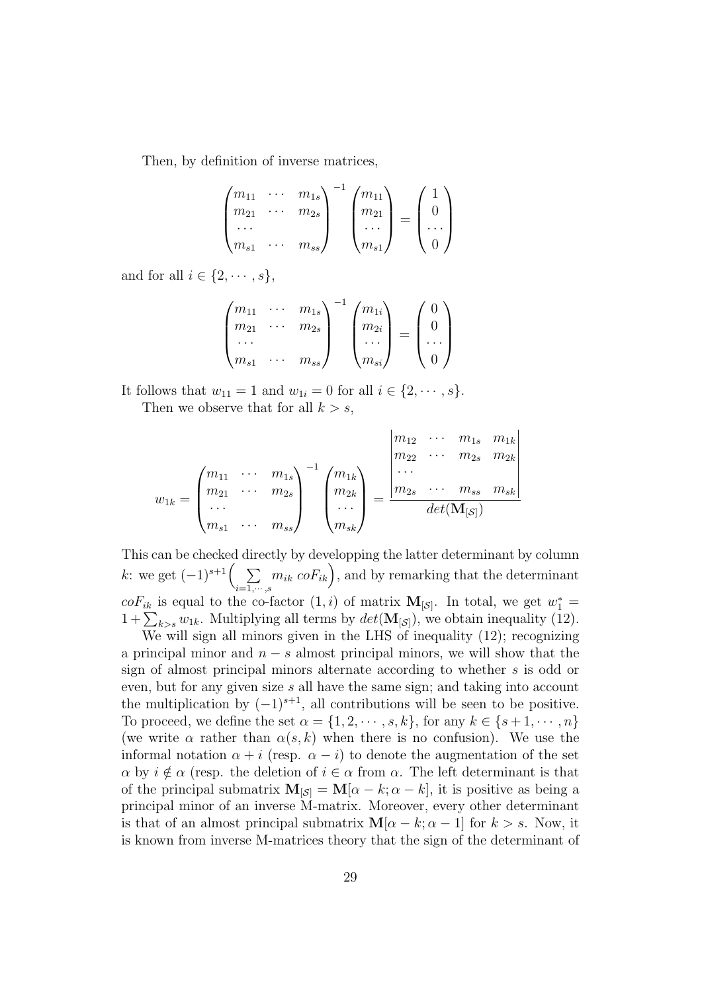Then, by definition of inverse matrices,

$$
\begin{pmatrix} m_{11} & \cdots & m_{1s} \\ m_{21} & \cdots & m_{2s} \\ \cdots & & \cdots \\ m_{s1} & \cdots & m_{ss} \end{pmatrix}^{-1} \begin{pmatrix} m_{11} \\ m_{21} \\ \cdots \\ m_{s1} \end{pmatrix} = \begin{pmatrix} 1 \\ 0 \\ \cdots \\ 0 \end{pmatrix}
$$

and for all  $i \in \{2, \dots, s\},\$ 

$$
\begin{pmatrix} m_{11} & \cdots & m_{1s} \\ m_{21} & \cdots & m_{2s} \\ \cdots & & \cdots \\ m_{s1} & \cdots & m_{ss} \end{pmatrix}^{-1} \begin{pmatrix} m_{1i} \\ m_{2i} \\ \cdots \\ m_{si} \end{pmatrix} = \begin{pmatrix} 0 \\ 0 \\ \cdots \\ 0 \end{pmatrix}
$$

It follows that  $w_{11} = 1$  and  $w_{1i} = 0$  for all  $i \in \{2, \dots, s\}.$ Then we observe that for all  $k > s$ ,

$$
w_{1k} = \begin{pmatrix} m_{11} & \cdots & m_{1s} \\ m_{21} & \cdots & m_{2s} \\ \cdots & \cdots & \cdots \\ m_{s1} & \cdots & m_{ss} \end{pmatrix}^{-1} \begin{pmatrix} m_{1k} \\ m_{2k} \\ \cdots \\ m_{sk} \end{pmatrix} = \frac{\begin{vmatrix} m_{12} & \cdots & m_{1s} & m_{1k} \\ m_{22} & \cdots & m_{2s} & m_{2k} \\ \cdots \\ m_{2s} & \cdots & m_{ss} & m_{sk} \end{vmatrix}}{\det(\mathbf{M}_{[\mathcal{S}]})}
$$

This can be checked directly by developping the latter determinant by column k: we get  $(-1)^{s+1}$  $\Big($  $_{i=1,\cdots,s}$  $(m_{ik} \text{ } coF_{ik}),$  and by remarking that the determinant  $coF_{ik}$  is equal to the co-factor  $(1, i)$  of matrix  $\mathbf{M}_{\lbrack \mathcal{S} \rbrack}$ . In total, we get  $w_1^* =$  $1 + \sum_{k>s} w_{1k}$ . Multiplying all terms by  $det(\mathbf{M}_{\lbrack \mathcal{S} \rbrack})$ , we obtain inequality (12).

We will sign all minors given in the LHS of inequality (12); recognizing a principal minor and  $n - s$  almost principal minors, we will show that the sign of almost principal minors alternate according to whether s is odd or even, but for any given size s all have the same sign; and taking into account the multiplication by  $(-1)^{s+1}$ , all contributions will be seen to be positive. To proceed, we define the set  $\alpha = \{1, 2, \dots, s, k\}$ , for any  $k \in \{s+1, \dots, n\}$ (we write  $\alpha$  rather than  $\alpha(s, k)$  when there is no confusion). We use the informal notation  $\alpha + i$  (resp.  $\alpha - i$ ) to denote the augmentation of the set  $\alpha$  by  $i \notin \alpha$  (resp. the deletion of  $i \in \alpha$  from  $\alpha$ . The left determinant is that of the principal submatrix  $\mathbf{M}_{\lbrack\mathcal{S}\rbrack} = \mathbf{M}[\alpha - k; \alpha - k]$ , it is positive as being a principal minor of an inverse M-matrix. Moreover, every other determinant is that of an almost principal submatrix  $M[\alpha - k; \alpha - 1]$  for  $k > s$ . Now, it is known from inverse M-matrices theory that the sign of the determinant of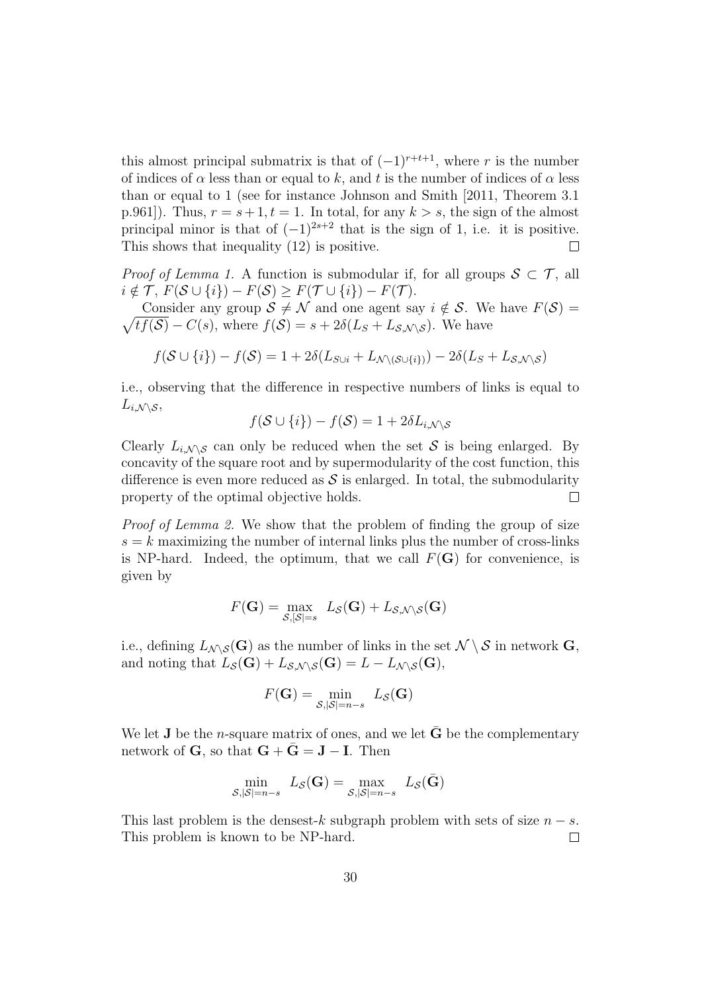this almost principal submatrix is that of  $(-1)^{r+t+1}$ , where r is the number of indices of  $\alpha$  less than or equal to k, and t is the number of indices of  $\alpha$  less than or equal to 1 (see for instance Johnson and Smith [2011, Theorem 3.1 p.961]). Thus,  $r = s + 1, t = 1$ . In total, for any  $k > s$ , the sign of the almost principal minor is that of  $(-1)^{2s+2}$  that is the sign of 1, i.e. it is positive. This shows that inequality (12) is positive.  $\Box$ 

*Proof of Lemma 1.* A function is submodular if, for all groups  $S \subset T$ , all  $i \notin \mathcal{T}, F(\mathcal{S} \cup \{i\}) - F(\mathcal{S}) \geq F(\mathcal{T} \cup \{i\}) - F(\mathcal{T}).$ 

 $\sqrt{tf(\mathcal{S})} - C(s)$ , where  $f(\mathcal{S}) = s + 2\delta(L_s + L_{\mathcal{S},\mathcal{N}\setminus\mathcal{S}})$ . We have Consider any group  $S \neq \mathcal{N}$  and one agent say  $i \notin \mathcal{S}$ . We have  $F(\mathcal{S}) =$ 

$$
f(\mathcal{S} \cup \{i\}) - f(\mathcal{S}) = 1 + 2\delta(L_{S \cup i} + L_{\mathcal{N} \setminus (\mathcal{S} \cup \{i\})}) - 2\delta(L_S + L_{\mathcal{S}, \mathcal{N} \setminus \mathcal{S}})
$$

i.e., observing that the difference in respective numbers of links is equal to  $L_{i,\mathcal{N} \setminus \mathcal{S}},$ 

$$
f(\mathcal{S} \cup \{i\}) - f(\mathcal{S}) = 1 + 2\delta L_{i,\mathcal{N} \setminus \mathcal{S}}
$$

Clearly  $L_{i,\mathcal{N}\mathcal{S}}$  can only be reduced when the set S is being enlarged. By concavity of the square root and by supermodularity of the cost function, this difference is even more reduced as  $S$  is enlarged. In total, the submodularity property of the optimal objective holds.  $\Box$ 

Proof of Lemma 2. We show that the problem of finding the group of size  $s = k$  maximizing the number of internal links plus the number of cross-links is NP-hard. Indeed, the optimum, that we call  $F(G)$  for convenience, is given by

$$
F(\mathbf{G}) = \max_{\mathcal{S}, |\mathcal{S}| = s} L_{\mathcal{S}}(\mathbf{G}) + L_{\mathcal{S}, \mathcal{N} \setminus \mathcal{S}}(\mathbf{G})
$$

i.e., defining  $L_{\mathcal{N}\setminus\mathcal{S}}(G)$  as the number of links in the set  $\mathcal{N}\setminus\mathcal{S}$  in network G, and noting that  $L_{\mathcal{S}}(\mathbf{G}) + L_{\mathcal{S},\mathcal{N}\setminus\mathcal{S}}(\mathbf{G}) = L - L_{\mathcal{N}\setminus\mathcal{S}}(\mathbf{G}),$ 

$$
F(\mathbf{G}) = \min_{\mathcal{S}, |\mathcal{S}| = n-s} L_{\mathcal{S}}(\mathbf{G})
$$

We let **J** be the *n*-square matrix of ones, and we let  $\bar{G}$  be the complementary network of **G**, so that  $G + \bar{G} = J - I$ . Then

$$
\min_{\mathcal{S}, |\mathcal{S}|=n-s} L_{\mathcal{S}}(\mathbf{G}) = \max_{\mathcal{S}, |\mathcal{S}|=n-s} L_{\mathcal{S}}(\bar{\mathbf{G}})
$$

This last problem is the densest-k subgraph problem with sets of size  $n - s$ . This problem is known to be NP-hard.  $\Box$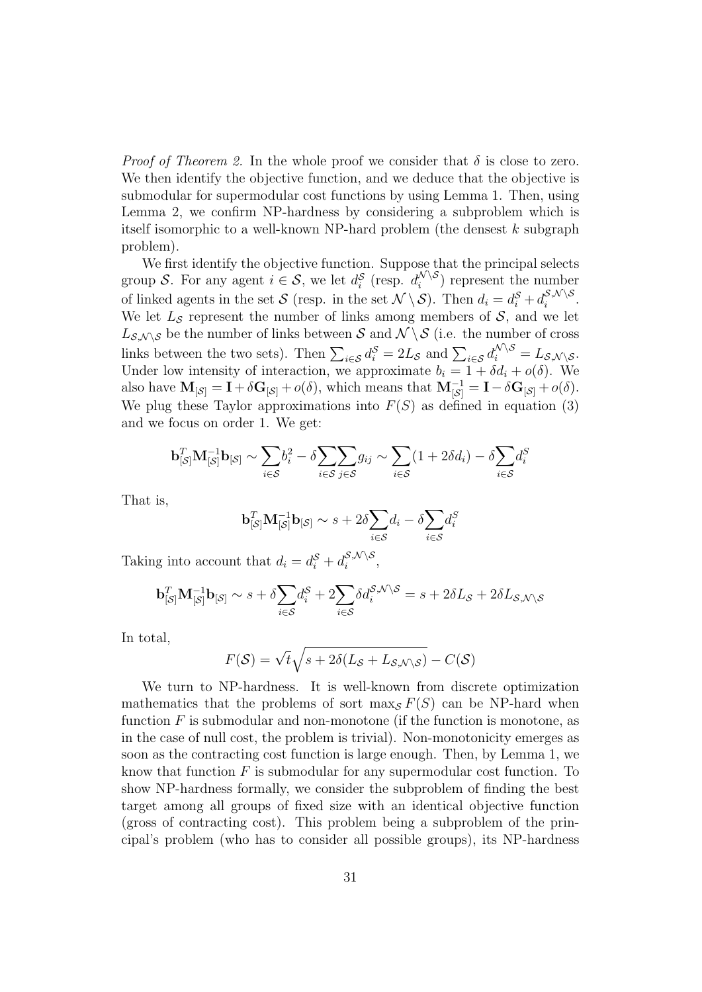*Proof of Theorem 2.* In the whole proof we consider that  $\delta$  is close to zero. We then identify the objective function, and we deduce that the objective is submodular for supermodular cost functions by using Lemma 1. Then, using Lemma 2, we confirm NP-hardness by considering a subproblem which is itself isomorphic to a well-known NP-hard problem (the densest  $k$  subgraph problem).

We first identify the objective function. Suppose that the principal selects group S. For any agent  $i \in S$ , we let  $d_i^S$  (resp.  $d_i^{\mathcal{N}\setminus S}$  $\binom{1}{i}$  represent the number of linked agents in the set S (resp. in the set  $\mathcal{N} \setminus \mathcal{S}$ ). Then  $d_i = d_i^{\mathcal{S}} + d_i^{\mathcal{S},\mathcal{N} \setminus \mathcal{S}}$  $\frac{\partial}{i}$ ,  $\frac{\partial}{\partial}$ . We let  $L<sub>S</sub>$  represent the number of links among members of S, and we let  $L_{\mathcal{S},\mathcal{N}\setminus\mathcal{S}}$  be the number of links between S and  $\mathcal{N}\setminus\mathcal{S}$  (i.e. the number of cross links between the two sets). Then  $\sum_{i \in S} d_i^S = 2L_S$  and  $\sum_{i \in S} d_i^{\mathcal{N} \setminus S} = L_{\mathcal{S},\mathcal{N} \setminus \mathcal{S}}$ . Under low intensity of interaction, we approximate  $b_i = 1 + \delta d_i + o(\delta)$ . We also have  $\mathbf{M}_{\left[\mathcal{S}\right]} = \mathbf{I} + \delta \mathbf{G}_{\left[\mathcal{S}\right]} + o(\delta)$ , which means that  $\mathbf{M}_{\left[\mathcal{S}\right]}^{-1} = \mathbf{I} - \delta \mathbf{G}_{\left[\mathcal{S}\right]} + o(\delta)$ . We plug these Taylor approximations into  $F(S)$  as defined in equation (3) and we focus on order 1. We get:

$$
\mathbf{b}_{\left[\mathcal{S}\right]}^{T} \mathbf{M}_{\left[\mathcal{S}\right]}^{-1} \mathbf{b}_{\left[\mathcal{S}\right]} \sim \sum_{i \in \mathcal{S}} b_i^2 - \delta \sum_{i \in \mathcal{S}} \sum_{j \in \mathcal{S}} g_{ij} \sim \sum_{i \in \mathcal{S}} (1 + 2\delta d_i) - \delta \sum_{i \in \mathcal{S}} d_i^S
$$

That is,

$$
\mathbf{b}_{\left[\mathcal{S}\right]}^{T} \mathbf{M}_{\left[\mathcal{S}\right]}^{-1} \mathbf{b}_{\left[\mathcal{S}\right]} \sim s + 2\delta \sum_{i \in \mathcal{S}} d_{i} - \delta \sum_{i \in \mathcal{S}} d_{i}^{S}
$$

Taking into account that  $d_i = d_i^{\mathcal{S}} + d_i^{\mathcal{S}, \mathcal{N} \setminus \mathcal{S}}$  $\sum_{i}^{S,\mathcal{N}}\setminus S$ 

$$
\mathbf{b}_{\left[\mathcal{S}\right]}^{T} \mathbf{M}_{\left[\mathcal{S}\right]}^{-1} \mathbf{b}_{\left[\mathcal{S}\right]} \sim s + \delta \sum_{i \in \mathcal{S}} d_{i}^{\mathcal{S}} + 2 \sum_{i \in \mathcal{S}} \delta d_{i}^{\mathcal{S},\mathcal{N}\setminus\mathcal{S}} = s + 2\delta L_{\mathcal{S}} + 2\delta L_{\mathcal{S},\mathcal{N}\setminus\mathcal{S}}
$$

In total,

$$
F(\mathcal{S}) = \sqrt{t}\sqrt{s + 2\delta(L_{\mathcal{S}} + L_{\mathcal{S},\mathcal{N}\setminus\mathcal{S}})} - C(\mathcal{S})
$$

We turn to NP-hardness. It is well-known from discrete optimization mathematics that the problems of sort max<sub>S</sub>  $F(S)$  can be NP-hard when function  $F$  is submodular and non-monotone (if the function is monotone, as in the case of null cost, the problem is trivial). Non-monotonicity emerges as soon as the contracting cost function is large enough. Then, by Lemma 1, we know that function  $F$  is submodular for any supermodular cost function. To show NP-hardness formally, we consider the subproblem of finding the best target among all groups of fixed size with an identical objective function (gross of contracting cost). This problem being a subproblem of the principal's problem (who has to consider all possible groups), its NP-hardness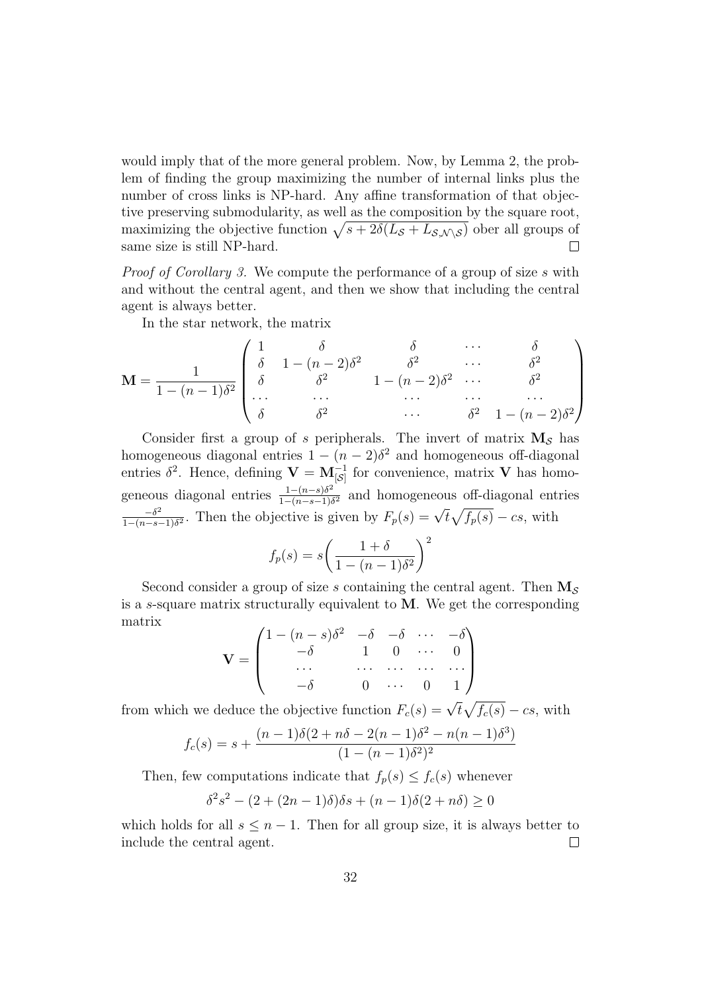would imply that of the more general problem. Now, by Lemma 2, the problem of finding the group maximizing the number of internal links plus the number of cross links is NP-hard. Any affine transformation of that objective preserving submodularity, as well as the composition by the square root, maximizing the objective function  $\sqrt{s + 2\delta(L_{\mathcal{S}} + L_{\mathcal{S},\mathcal{N}\setminus\mathcal{S}})}$  ober all groups of same size is still NP-hard.  $\Box$ 

Proof of Corollary 3. We compute the performance of a group of size s with and without the central agent, and then we show that including the central agent is always better.

In the star network, the matrix

$$
\mathbf{M} = \frac{1}{1 - (n-1)\delta^2} \begin{pmatrix} 1 & \delta & \delta & \cdots & \delta \\ \delta & 1 - (n-2)\delta^2 & \delta^2 & \cdots & \delta^2 \\ \delta & \delta^2 & 1 - (n-2)\delta^2 & \cdots & \delta^2 \\ \cdots & \cdots & \cdots & \cdots & \cdots \\ \delta & \delta^2 & \delta^2 & \cdots & \delta^2 & 1 - (n-2)\delta^2 \end{pmatrix}
$$

Consider first a group of s peripherals. The invert of matrix  $M<sub>S</sub>$  has homogeneous diagonal entries  $1 - (n - 2)\delta^2$  and homogeneous off-diagonal entries  $\delta^2$ . Hence, defining  $\mathbf{V} = \mathbf{M}_{\mathcal{S}}^{-1}$  for convenience, matrix  $\mathbf{V}$  has homogeneous diagonal entries  $\frac{1-(n-s)\delta^2}{1-(n-s-1)\delta^2}$  $\frac{1-(n-s)\delta^2}{1-(n-s-1)\delta^2}$  and homogeneous off-diagonal entries  $-\delta^2$  $\frac{-\delta^2}{1-(n-s-1)\delta^2}$ . Then the objective is given by  $F_p(s) = \sqrt{t}\sqrt{f_p(s)} - cs$ , with

$$
f_p(s) = s \left( \frac{1+\delta}{1-(n-1)\delta^2} \right)^2
$$

Second consider a group of size s containing the central agent. Then  $M_s$ is a s-square matrix structurally equivalent to  $M$ . We get the corresponding matrix

$$
\mathbf{V} = \begin{pmatrix} 1 - (n - s)\delta^2 & -\delta & -\delta & \cdots & -\delta \\ -\delta & 1 & 0 & \cdots & 0 \\ \cdots & \cdots & \cdots & \cdots & \cdots \\ -\delta & 0 & \cdots & 0 & 1 \end{pmatrix}
$$

from which we deduce the objective function  $F_c(s) = \sqrt{t} \sqrt{f_c(s)} - cs$ , with

$$
f_c(s) = s + \frac{(n-1)\delta(2+n\delta - 2(n-1)\delta^2 - n(n-1)\delta^3)}{(1-(n-1)\delta^2)^2}
$$

Then, few computations indicate that  $f_p(s) \leq f_c(s)$  whenever

$$
\delta^2 s^2 - (2 + (2n - 1)\delta)\delta s + (n - 1)\delta(2 + n\delta) \ge 0
$$

which holds for all  $s \leq n-1$ . Then for all group size, it is always better to  $\Box$ include the central agent.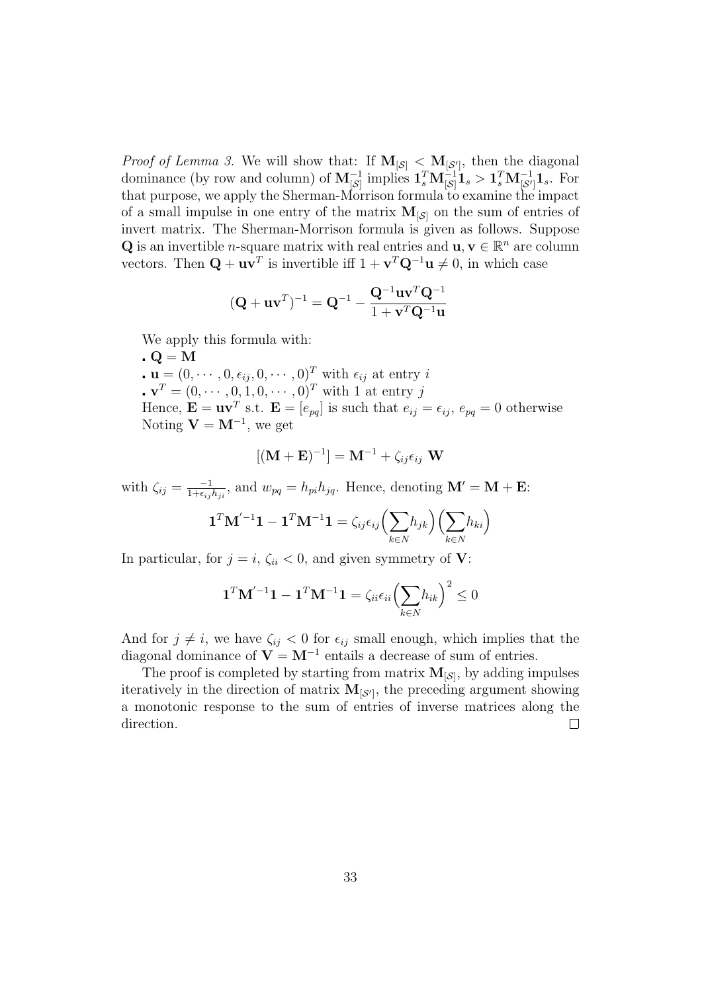*Proof of Lemma 3.* We will show that: If  $M_{\lbrack S\rbrack} < M_{\lbrack S\rbrack}$ , then the diagonal dominance (by row and column) of  $M_{[S]}^{-1}$  implies  $1_s^T M_{[S]}^{-1} 1_s > 1_s^T M_{[S']}^{-1} 1_s$ . For that purpose, we apply the Sherman-Morrison formula to examine the impact of a small impulse in one entry of the matrix  $M_{\lbrack S\rbrack}$  on the sum of entries of invert matrix. The Sherman-Morrison formula is given as follows. Suppose **Q** is an invertible *n*-square matrix with real entries and  $\mathbf{u}, \mathbf{v} \in \mathbb{R}^n$  are column vectors. Then  $\mathbf{Q} + \mathbf{u}\mathbf{v}^T$  is invertible iff  $1 + \mathbf{v}^T\mathbf{Q}^{-1}\mathbf{u} \neq 0$ , in which case

$$
(\mathbf{Q} + \mathbf{u}\mathbf{v}^T)^{-1} = \mathbf{Q}^{-1} - \frac{\mathbf{Q}^{-1}\mathbf{u}\mathbf{v}^T\mathbf{Q}^{-1}}{1 + \mathbf{v}^T\mathbf{Q}^{-1}\mathbf{u}}
$$

We apply this formula with:

 $\mathbf{Q} = \mathbf{M}$  $\mathbf{u} = (0, \dots, 0, \epsilon_{ij}, 0, \dots, 0)^T$  with  $\epsilon_{ij}$  at entry i  $\mathbf{v}^T = (0, \cdots, 0, 1, 0, \cdots, 0)^T$  with 1 at entry j Hence,  $\mathbf{E} = \mathbf{u}\mathbf{v}^T$  s.t.  $\mathbf{E} = [e_{pq}]$  is such that  $e_{ij} = \epsilon_{ij}$ ,  $e_{pq} = 0$  otherwise Noting  $V = M^{-1}$ , we get

$$
[(\mathbf{M} + \mathbf{E})^{-1}] = \mathbf{M}^{-1} + \zeta_{ij} \epsilon_{ij} \mathbf{W}
$$

with  $\zeta_{ij} = \frac{-1}{1+\epsilon_{ij}}$  $\frac{-1}{1+\epsilon_{ij}h_{ji}}$ , and  $w_{pq} = h_{pi}h_{jq}$ . Hence, denoting  $\mathbf{M}' = \mathbf{M} + \mathbf{E}$ :

$$
\mathbf{1}^T\mathbf{M}^{'-1}\mathbf{1}-\mathbf{1}^T\mathbf{M}^{-1}\mathbf{1}=\zeta_{ij}\epsilon_{ij}\Bigl(\sum_{k\in N}\!h_{jk}\Bigr)\Bigl(\sum_{k\in N}\!h_{ki}\Bigr)
$$

In particular, for  $j = i$ ,  $\zeta_{ii} < 0$ , and given symmetry of **V**:

$$
\mathbf{1}^T \mathbf{M}^{'-1} \mathbf{1} - \mathbf{1}^T \mathbf{M}^{-1} \mathbf{1} = \zeta_{ii} \epsilon_{ii} \Bigl(\sum_{k \in N} h_{ik}\Bigr)^2 \leq 0
$$

And for  $j \neq i$ , we have  $\zeta_{ij} < 0$  for  $\epsilon_{ij}$  small enough, which implies that the diagonal dominance of  $V = M^{-1}$  entails a decrease of sum of entries.

The proof is completed by starting from matrix  $M_{\lbrack S\rbrack}$ , by adding impulses iteratively in the direction of matrix  $M_{\lbrack S^{'}\rbrack}$ , the preceding argument showing a monotonic response to the sum of entries of inverse matrices along the direction.  $\Box$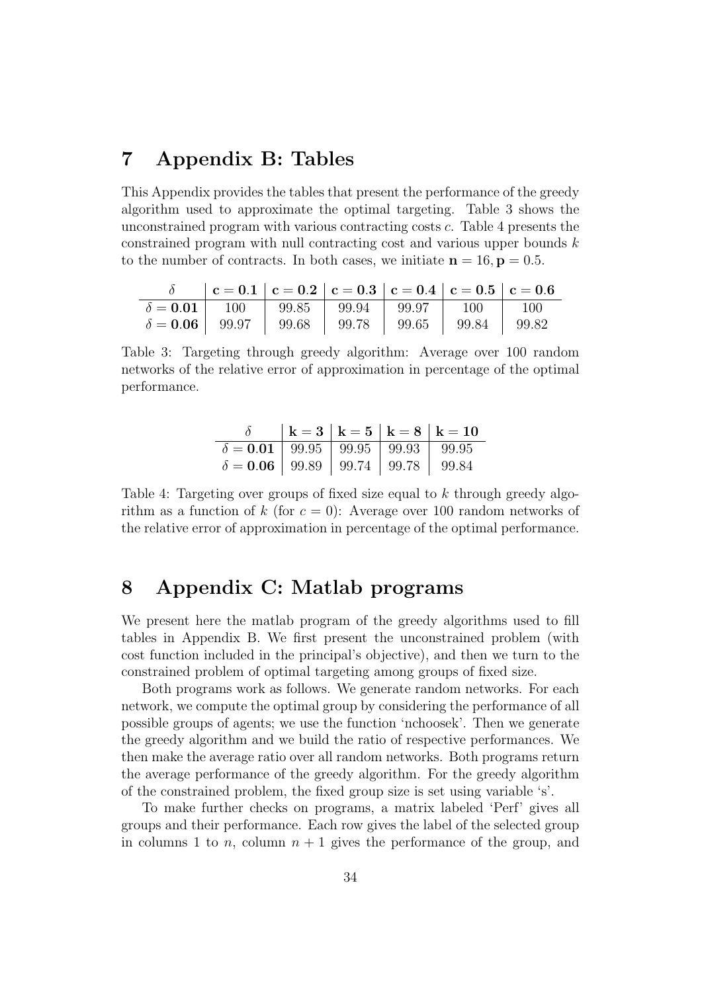# 7 Appendix B: Tables

This Appendix provides the tables that present the performance of the greedy algorithm used to approximate the optimal targeting. Table 3 shows the unconstrained program with various contracting costs c. Table 4 presents the constrained program with null contracting cost and various upper bounds k to the number of contracts. In both cases, we initiate  $n = 16$ ,  $p = 0.5$ .

|                                                                                                                                                                                                                                                                                                                             | $\delta$ $  c = 0.1   c = 0.2   c = 0.3   c = 0.4   c = 0.5   c = 0.6$ |  |  |  |
|-----------------------------------------------------------------------------------------------------------------------------------------------------------------------------------------------------------------------------------------------------------------------------------------------------------------------------|------------------------------------------------------------------------|--|--|--|
|                                                                                                                                                                                                                                                                                                                             |                                                                        |  |  |  |
| $\begin{array}{ c c c c c c c c c c } \hline \delta=\textbf{0.01} & \textbf{100} & \textbf{99.85} & \textbf{99.94} & \textbf{99.97} & \textbf{100} & \textbf{100} \ \hline \delta=\textbf{0.06} & \textbf{99.97} & \textbf{99.68} & \textbf{99.78} & \textbf{99.65} & \textbf{99.84} & \textbf{99.82} \ \hline \end{array}$ |                                                                        |  |  |  |

Table 3: Targeting through greedy algorithm: Average over 100 random networks of the relative error of approximation in percentage of the optimal performance.

|                                                 |  | $  k = 3   k = 5   k = 8   k = 10$ |
|-------------------------------------------------|--|------------------------------------|
| $\delta = 0.01$ 99.95 99.95 99.93 99.95         |  |                                    |
| $\delta = 0.06$   99.89   99.74   99.78   99.84 |  |                                    |

Table 4: Targeting over groups of fixed size equal to k through greedy algorithm as a function of k (for  $c = 0$ ): Average over 100 random networks of the relative error of approximation in percentage of the optimal performance.

# 8 Appendix C: Matlab programs

We present here the matlab program of the greedy algorithms used to fill tables in Appendix B. We first present the unconstrained problem (with cost function included in the principal's objective), and then we turn to the constrained problem of optimal targeting among groups of fixed size.

Both programs work as follows. We generate random networks. For each network, we compute the optimal group by considering the performance of all possible groups of agents; we use the function 'nchoosek'. Then we generate the greedy algorithm and we build the ratio of respective performances. We then make the average ratio over all random networks. Both programs return the average performance of the greedy algorithm. For the greedy algorithm of the constrained problem, the fixed group size is set using variable 's'.

To make further checks on programs, a matrix labeled 'Perf' gives all groups and their performance. Each row gives the label of the selected group in columns 1 to n, column  $n + 1$  gives the performance of the group, and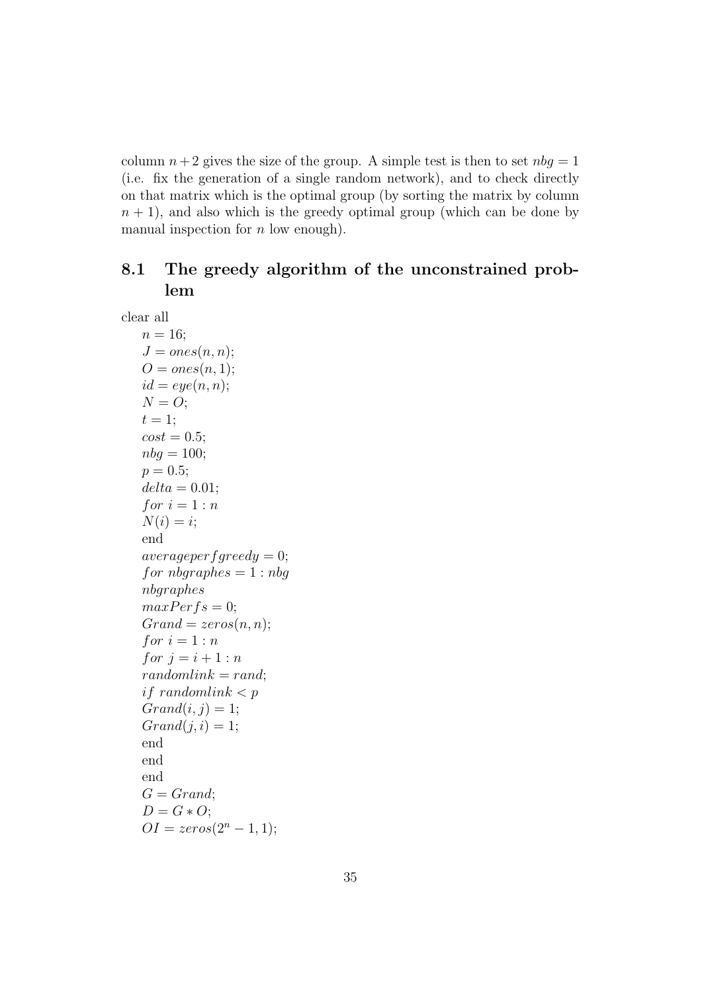column  $n+2$  gives the size of the group. A simple test is then to set  $nbg = 1$ (i.e. fix the generation of a single random network), and to check directly on that matrix which is the optimal group (by sorting the matrix by column  $n + 1$ , and also which is the greedy optimal group (which can be done by manual inspection for  $n$  low enough).

## 8.1 The greedy algorithm of the unconstrained problem

clear all  $n = 16;$  $J = ones(n, n);$  $O = ones(n, 1);$  $id = eye(n, n);$  $N = O;$  $t=1;$  $cost = 0.5;$  $nbg = 100;$  $p = 0.5$ ;  $delta = 0.01$ ; for  $i = 1:n$  $N(i) = i;$ end  $average<sub>per</sub>f<sub>greedy</sub> = 0;$ for  $nbaraphes = 1 : nbq$ nbgraphes  $maxPerfs = 0;$  $Grand = zeros(n, n);$ for  $i = 1:n$ for  $j = i + 1 : n$  $randomlink = rand;$ if randomlink  $\lt p$  $Grand(i, j) = 1;$  $Grand(j, i) = 1;$ end end end  $G = Grand;$  $D = G \ast O;$  $OI = zeros(2^n - 1, 1);$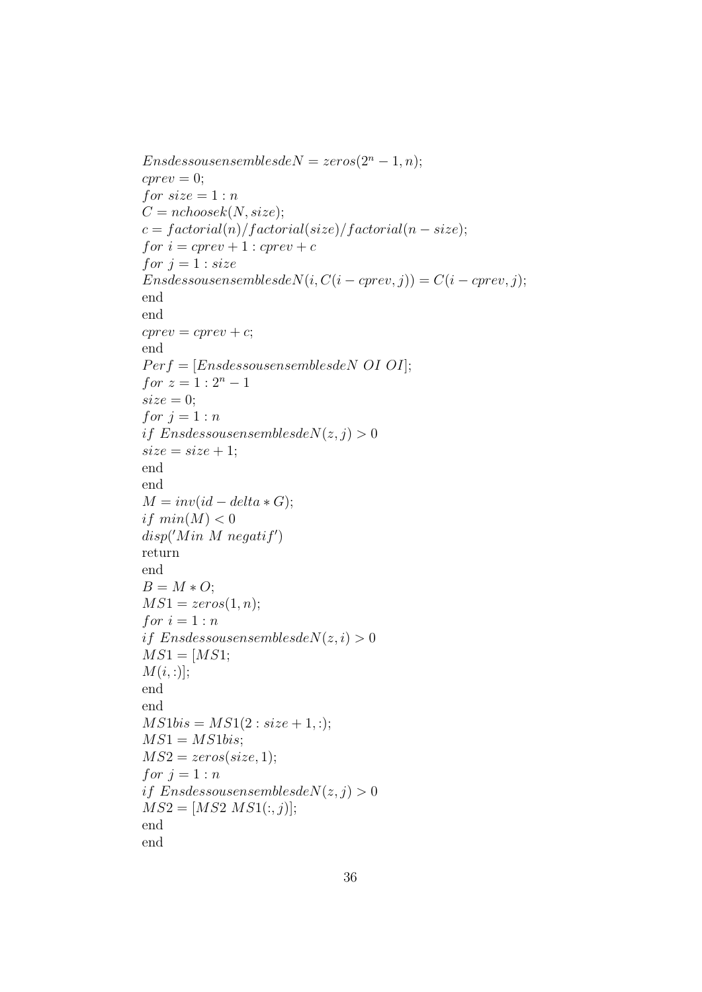$En<sub>s</sub> des sousensembles de N = zeros(2<sup>n</sup> - 1, n);$  $cprev = 0$ ; for  $size = 1:n$  $C = nchoosek(N, size);$  $c = factorial(n)/factorial(size)/factorial(n - size);$ for  $i = \text{cprev} + 1$ :  $\text{cprev} + c$ for  $j = 1$  : size  $Ens dessous ensemble sdeN(i, C(i-cprev, j)) = C(i-cprev, j);$ end end  $cprev = cprev + c;$ end  $Perf = [Ens dessous ensembles de NOT OII];$ for  $z = 1 : 2^n - 1$  $size = 0;$ for  $j = 1:n$ if Ensdessousensemblesde $N(z, j) > 0$  $size = size + 1;$ end end  $M = inv(id - delta * G);$ if  $min(M) < 0$  $disp('Min\ M\ negatif')$ return end  $B = M \ast O;$  $MS1 = zeros(1, n);$ for  $i = 1:n$ if Ensdessousensemblesde $N(z, i) > 0$  $MS1 = [MS1;$  $M(i,:)]$ ; end end  $MS1bis = MS1(2: size + 1, :);$  $MS1 = MS1bis;$  $MS2 = zeros(size, 1);$ for  $j = 1:n$ if Ensdessousensemblesde $N(z, j) > 0$  $MS2 = [MS2 MS1(:, j)];$ end end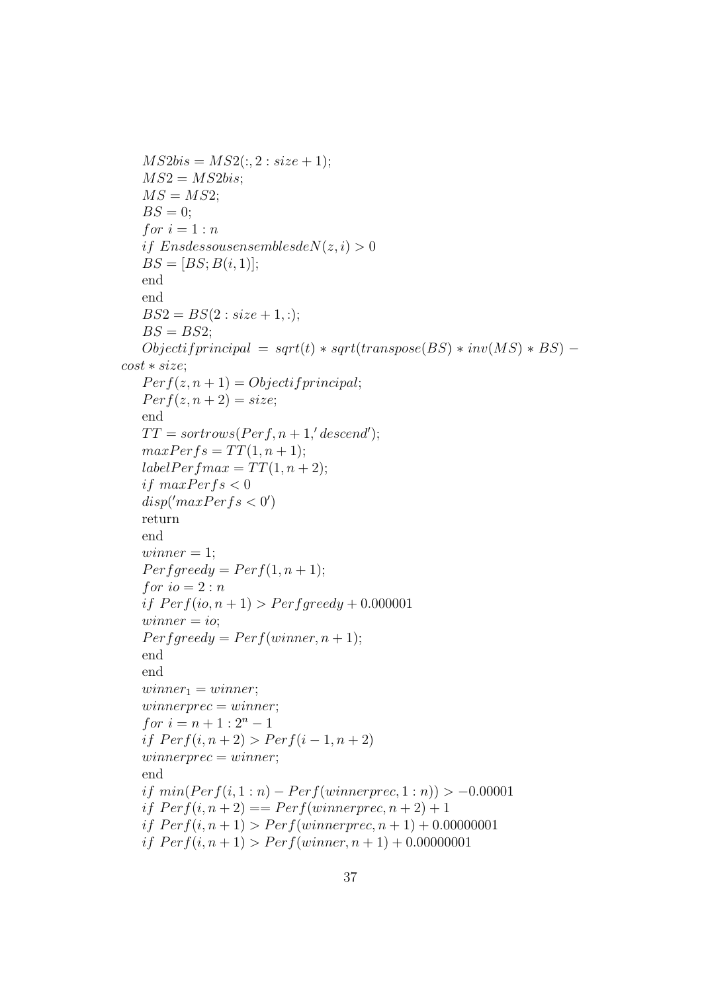```
MS2bis = MS2(:, 2 : size + 1);MS2 = MS2bis;
   MS = MS2;
   BS = 0;
   for i = 1:nif EnsdessousensemblesdeN(z, i) > 0BS = [BS; B(i, 1)];end
   end
   BS2 = BS(2: size + 1, :);BS = BS2;
   Objectif principal = sqrt(t) * sqrt(transpose(BS) * inv(MS) * BS) –
cost ∗ size;
   Perf(z, n+1) = Objectif principal;Perf(z, n+2) = size;end
   TT = sortrows(Perf, n + 1, 'descend');maxPerfs = TT(1, n + 1);labelPerfmax = TT(1, n + 2);if maxPerfs < 0disp('maxPerfs < 0')return
   end
   winner = 1;
   Perf greedy = Perf(1, n + 1);for io = 2:nif Perf(io, n + 1) > Perfgreedy + 0.000001winner = io;Perf \text{greedy} = Perf(\text{winner}, n+1);end
   end
   winner_1 = winner;winnerprec = winner;for i = n + 1 : 2^n - 1if Perf(i, n + 2) > Perf(i - 1, n + 2)winnerprec = winner;end
   if min(Perf(i, 1:n) - Perf(winnerprec, 1:n)) > -0.00001if Perf(i, n+2) == Perf(winner prec, n+2) + 1if Perf(i, n + 1) > Perf(winner prec, n + 1) + 0.00000001if Perf(i, n + 1) > Perf(winner, n + 1) + 0.00000001
```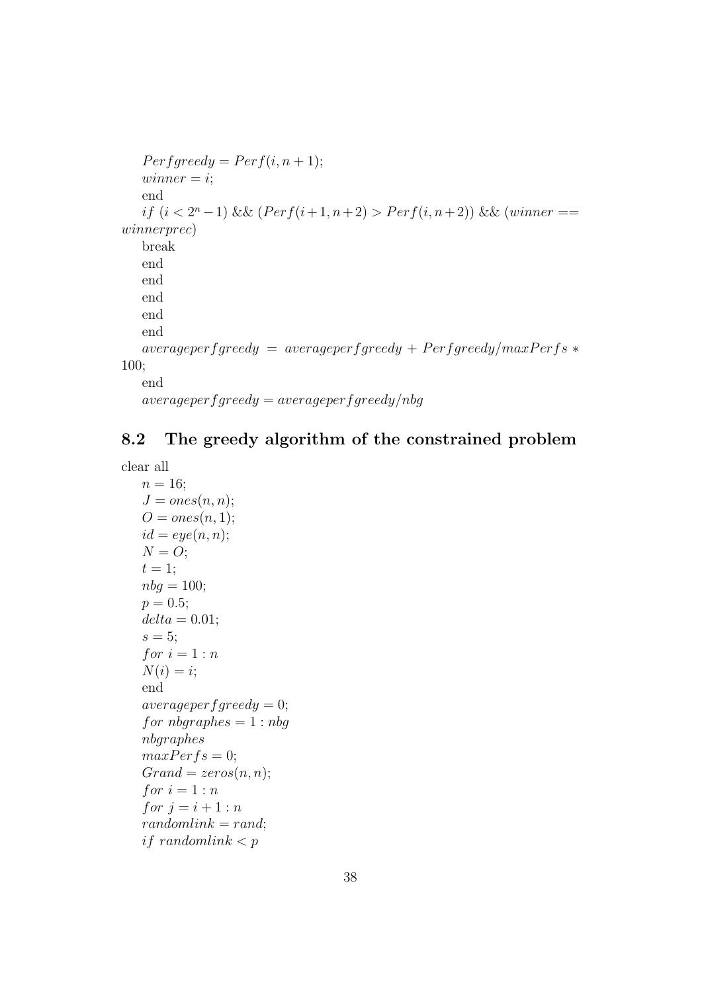```
Perf greedy = Perf(i, n + 1);winner = i;end
        if (i < 2<sup>n</sup> - 1) && (Perf(i+1, n+2) > Perf(i, n+2)) && (winner ==winnerprec)
       break
       end
       end
       end
       end
       end
       average<sup>p</sup> = average<sup>p</sup> = average<sup>p</sup> = average<sup>p</sup> = 1100;
       end
       average<sup>per</sup> <i>greedy</i> = average<sup>per</sup> <i>frequency</i> <i>neg</i> <i>q</i> <i>ng</i> <i>per</i> <i>eg</i> <i>neg</i> <i>q</i> <i>neg</i> <i>q</i> <i>neg</i> <i>q</i> <i>neg</i> <i>q</i> <i>neg</i> <i>q</i> <i>neg</i> <i>q</i> <i>neg</i> <i>q</i> <i>neg</i> <i>q</i> <i>neg</i> <i>q</i> <i>neg</i> <i>q</i> <i>neg</i> <i>q</i
```
# 8.2 The greedy algorithm of the constrained problem

```
clear all
```

```
n = 16;
J = ones(n, n);O = ones(n, 1);id = eye(n, n);N = O;t=1;nbg = 100;p = 0.5;
delta = 0.01;s = 5;
for i = 1:nN(i) = i;end
average<sup>per</sup>f<sup>g</sup><sub>g</sub> = 0;
for nbaraphes = 1 : nbqnbgraphes
maxPerfs = 0;Grand = zeros(n, n);for i = 1:nfor j = i + 1 : nrandomlink = rand;if randomlink \lt p
```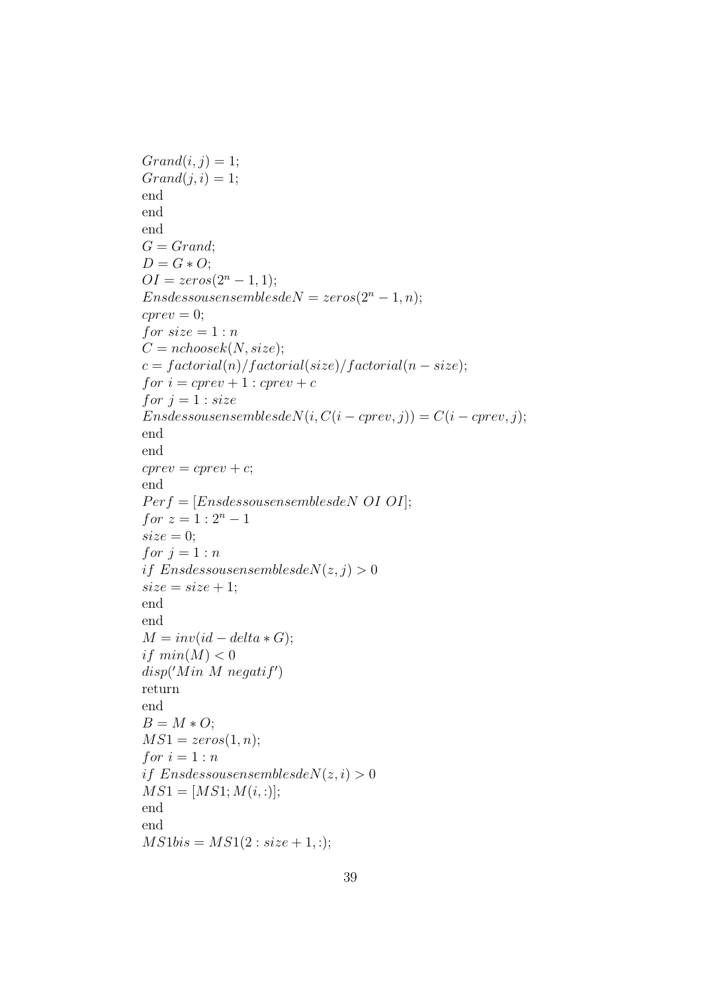```
Grand(i, j) = 1;Grand(j, i) = 1;end
end
end
G = Grand;D = G \ast O;OI = zeros(2^n - 1, 1);Ens dessous ensembles de N = zeros(2<sup>n</sup> - 1, n);cprev = 0;for size = 1:nC = nchoosek(N, size);c = factorial(n)/factorial(size)/factorial(n-size);for i = \text{cprev} + 1 : \text{cprev} + cfor j = 1 : size
Ens dessous ensemble sdeN(i, C(i-cprev, j)) = C(i-cprev, j);end
end
cprev = cprev + c;end
Perf = [En<i>sdessouse</i>nsemblesdeN OI OI];for z = 1 : 2^n - 1size = 0;for j = 1:nif EnsdessousensemblesdeN(z, j) > 0size = size + 1;end
end
M = inv(id - delta * G);if min(M) < 0disp('Min\ M\ negatif')return
end
B = M \ast O;MS1 = zeros(1, n);for i = 1:nif EnsdessousensemblesdeN(z, i) > 0MS1 = [MS1; M(i,:)];end
end
MS1bis = MS1(2: size + 1, :);
```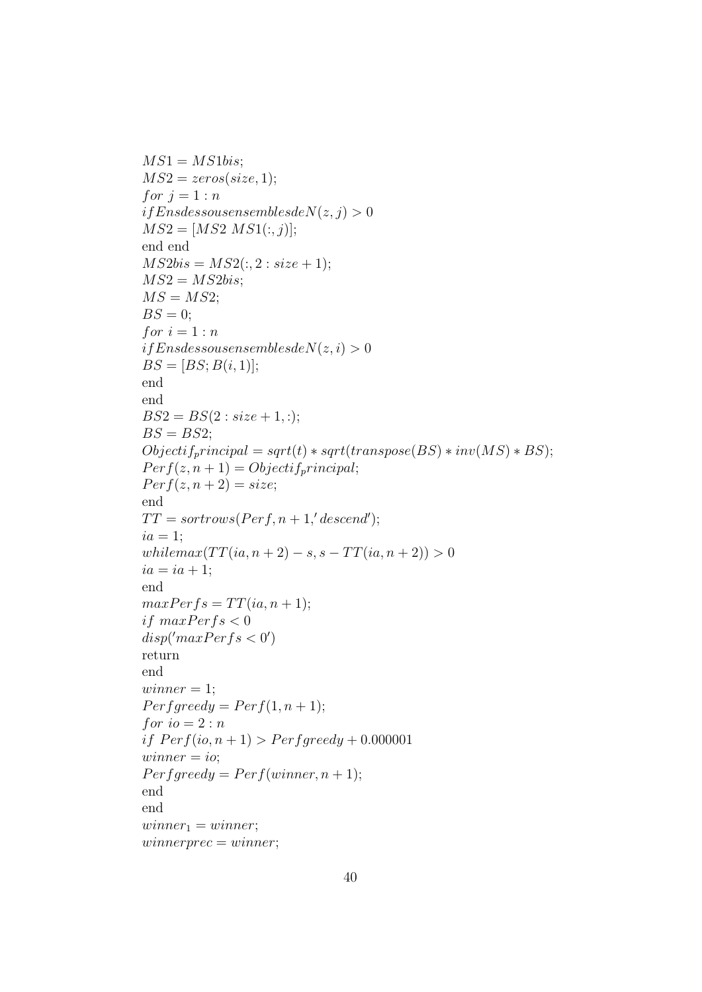```
MS1 = MS1bis;MS2 = zeros(size, 1);for j = 1:nifEn<b>s</b>des<b>s</b>ousensemblesde<sub>N</sub>(z, j) > 0MS2 = [MS2 MS1(:, j)];end end
MS2bis = MS2(:, 2: size + 1);MS2 = MS2bis;MS = MS2;BS = 0;for i=1:nifEn<sub>s</sub> des sous ensembles de N(z, i) > 0BS = [BS; B(i, 1)];end
end
BS2 = BS(2: size + 1, :);BS = BS2;
Objectif_principal = sqrt(t) * sqrt(transpose(BS) * inv(MS) * BS);Perf(z, n+1) = Objectif_p r incipal;Perf(z, n+2) = size;end
TT = sortrows(Perf, n + 1, 'descend');ia = 1;
whilemax(TT(ia, n + 2) - s, s - TT(ia, n + 2)) > 0ia = ia + 1;end
maxPerfs = TT(ia, n + 1);if maxPerfs < 0disp('maxPerfs < 0')return
end
winner = 1;Perf \text{g} \text{r} \text{e} \text{e} \text{d} \text{y} = Perf(1, n+1);for io = 2:nif Perf(io, n + 1) > Perf greedy + 0.000001
winner = io;Perf greedy = Perf(winner, n + 1);end
end
winner_1 = winner;winnerprec = winner;
```